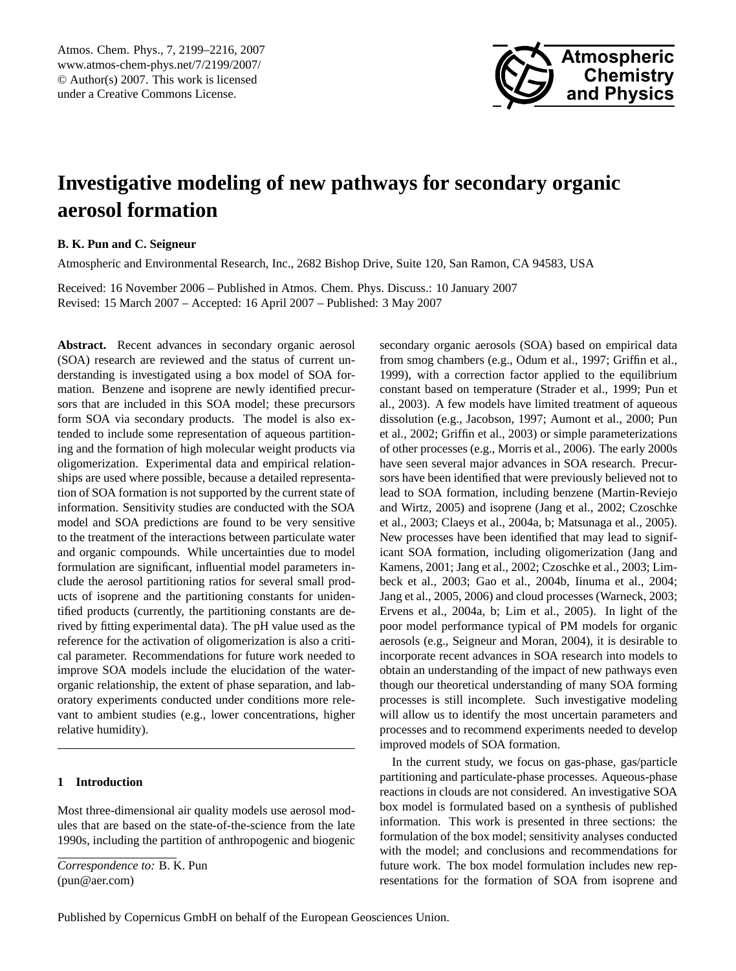<span id="page-0-0"></span>Atmos. Chem. Phys., 7, 2199–2216, 2007 www.atmos-chem-phys.net/7/2199/2007/ © Author(s) 2007. This work is licensed under a Creative Commons License.



# **Investigative modeling of new pathways for secondary organic aerosol formation**

# **B. K. Pun and C. Seigneur**

Atmospheric and Environmental Research, Inc., 2682 Bishop Drive, Suite 120, San Ramon, CA 94583, USA

Received: 16 November 2006 – Published in Atmos. Chem. Phys. Discuss.: 10 January 2007 Revised: 15 March 2007 – Accepted: 16 April 2007 – Published: 3 May 2007

**Abstract.** Recent advances in secondary organic aerosol (SOA) research are reviewed and the status of current understanding is investigated using a box model of SOA formation. Benzene and isoprene are newly identified precursors that are included in this SOA model; these precursors form SOA via secondary products. The model is also extended to include some representation of aqueous partitioning and the formation of high molecular weight products via oligomerization. Experimental data and empirical relationships are used where possible, because a detailed representation of SOA formation is not supported by the current state of information. Sensitivity studies are conducted with the SOA model and SOA predictions are found to be very sensitive to the treatment of the interactions between particulate water and organic compounds. While uncertainties due to model formulation are significant, influential model parameters include the aerosol partitioning ratios for several small products of isoprene and the partitioning constants for unidentified products (currently, the partitioning constants are derived by fitting experimental data). The pH value used as the reference for the activation of oligomerization is also a critical parameter. Recommendations for future work needed to improve SOA models include the elucidation of the waterorganic relationship, the extent of phase separation, and laboratory experiments conducted under conditions more relevant to ambient studies (e.g., lower concentrations, higher relative humidity).

# **1 Introduction**

Most three-dimensional air quality models use aerosol modules that are based on the state-of-the-science from the late 1990s, including the partition of anthropogenic and biogenic secondary organic aerosols (SOA) based on empirical data from smog chambers (e.g., Odum et al., 1997; Griffin et al., 1999), with a correction factor applied to the equilibrium constant based on temperature (Strader et al., 1999; Pun et al., 2003). A few models have limited treatment of aqueous dissolution (e.g., Jacobson, 1997; Aumont et al., 2000; Pun et al., 2002; Griffin et al., 2003) or simple parameterizations of other processes (e.g., Morris et al., 2006). The early 2000s have seen several major advances in SOA research. Precursors have been identified that were previously believed not to lead to SOA formation, including benzene (Martin-Reviejo and Wirtz, 2005) and isoprene (Jang et al., 2002; Czoschke et al., 2003; Claeys et al., 2004a, b; Matsunaga et al., 2005). New processes have been identified that may lead to significant SOA formation, including oligomerization (Jang and Kamens, 2001; Jang et al., 2002; Czoschke et al., 2003; Limbeck et al., 2003; Gao et al., 2004b, Iinuma et al., 2004; Jang et al., 2005, 2006) and cloud processes (Warneck, 2003; Ervens et al., 2004a, b; Lim et al., 2005). In light of the poor model performance typical of PM models for organic aerosols (e.g., Seigneur and Moran, 2004), it is desirable to incorporate recent advances in SOA research into models to obtain an understanding of the impact of new pathways even though our theoretical understanding of many SOA forming processes is still incomplete. Such investigative modeling will allow us to identify the most uncertain parameters and processes and to recommend experiments needed to develop improved models of SOA formation.

In the current study, we focus on gas-phase, gas/particle partitioning and particulate-phase processes. Aqueous-phase reactions in clouds are not considered. An investigative SOA box model is formulated based on a synthesis of published information. This work is presented in three sections: the formulation of the box model; sensitivity analyses conducted with the model; and conclusions and recommendations for future work. The box model formulation includes new representations for the formation of SOA from isoprene and

*Correspondence to:* B. K. Pun (pun@aer.com)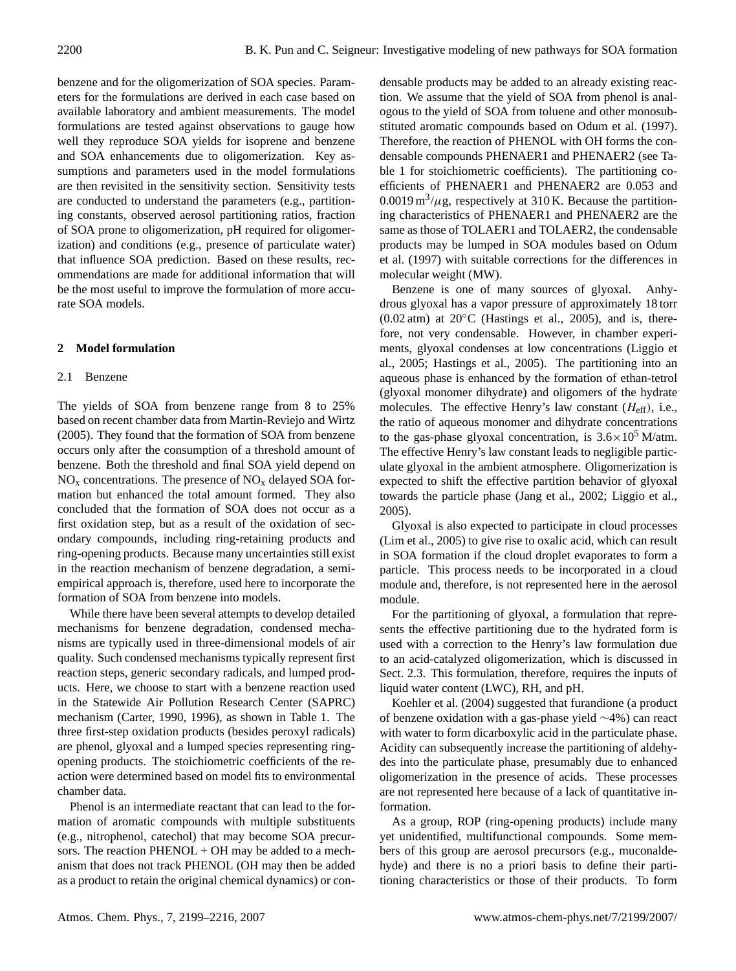benzene and for the oligomerization of SOA species. Parameters for the formulations are derived in each case based on available laboratory and ambient measurements. The model formulations are tested against observations to gauge how well they reproduce SOA yields for isoprene and benzene and SOA enhancements due to oligomerization. Key assumptions and parameters used in the model formulations are then revisited in the sensitivity section. Sensitivity tests are conducted to understand the parameters (e.g., partitioning constants, observed aerosol partitioning ratios, fraction of SOA prone to oligomerization, pH required for oligomerization) and conditions (e.g., presence of particulate water) that influence SOA prediction. Based on these results, recommendations are made for additional information that will be the most useful to improve the formulation of more accurate SOA models.

## **2 Model formulation**

# 2.1 Benzene

The yields of SOA from benzene range from 8 to 25% based on recent chamber data from Martin-Reviejo and Wirtz (2005). They found that the formation of SOA from benzene occurs only after the consumption of a threshold amount of benzene. Both the threshold and final SOA yield depend on  $NO<sub>x</sub>$  concentrations. The presence of  $NO<sub>x</sub>$  delayed SOA formation but enhanced the total amount formed. They also concluded that the formation of SOA does not occur as a first oxidation step, but as a result of the oxidation of secondary compounds, including ring-retaining products and ring-opening products. Because many uncertainties still exist in the reaction mechanism of benzene degradation, a semiempirical approach is, therefore, used here to incorporate the formation of SOA from benzene into models.

While there have been several attempts to develop detailed mechanisms for benzene degradation, condensed mechanisms are typically used in three-dimensional models of air quality. Such condensed mechanisms typically represent first reaction steps, generic secondary radicals, and lumped products. Here, we choose to start with a benzene reaction used in the Statewide Air Pollution Research Center (SAPRC) mechanism (Carter, 1990, 1996), as shown in Table 1. The three first-step oxidation products (besides peroxyl radicals) are phenol, glyoxal and a lumped species representing ringopening products. The stoichiometric coefficients of the reaction were determined based on model fits to environmental chamber data.

Phenol is an intermediate reactant that can lead to the formation of aromatic compounds with multiple substituents (e.g., nitrophenol, catechol) that may become SOA precursors. The reaction  $PHENOL + OH$  may be added to a mechanism that does not track PHENOL (OH may then be added as a product to retain the original chemical dynamics) or con-

densable products may be added to an already existing reaction. We assume that the yield of SOA from phenol is analogous to the yield of SOA from toluene and other monosubstituted aromatic compounds based on Odum et al. (1997). Therefore, the reaction of PHENOL with OH forms the condensable compounds PHENAER1 and PHENAER2 (see Table 1 for stoichiometric coefficients). The partitioning coefficients of PHENAER1 and PHENAER2 are 0.053 and  $0.0019 \,\mathrm{m}^3/\mu\mathrm{g}$ , respectively at 310 K. Because the partitioning characteristics of PHENAER1 and PHENAER2 are the same as those of TOLAER1 and TOLAER2, the condensable products may be lumped in SOA modules based on Odum et al. (1997) with suitable corrections for the differences in molecular weight (MW).

Benzene is one of many sources of glyoxal. Anhydrous glyoxal has a vapor pressure of approximately 18 torr  $(0.02 \text{ atm})$  at  $20^{\circ}$ C (Hastings et al., 2005), and is, therefore, not very condensable. However, in chamber experiments, glyoxal condenses at low concentrations (Liggio et al., 2005; Hastings et al., 2005). The partitioning into an aqueous phase is enhanced by the formation of ethan-tetrol (glyoxal monomer dihydrate) and oligomers of the hydrate molecules. The effective Henry's law constant  $(H_{\text{eff}})$ , i.e., the ratio of aqueous monomer and dihydrate concentrations to the gas-phase glyoxal concentration, is  $3.6 \times 10^5$  M/atm. The effective Henry's law constant leads to negligible particulate glyoxal in the ambient atmosphere. Oligomerization is expected to shift the effective partition behavior of glyoxal towards the particle phase (Jang et al., 2002; Liggio et al., 2005).

Glyoxal is also expected to participate in cloud processes (Lim et al., 2005) to give rise to oxalic acid, which can result in SOA formation if the cloud droplet evaporates to form a particle. This process needs to be incorporated in a cloud module and, therefore, is not represented here in the aerosol module.

For the partitioning of glyoxal, a formulation that represents the effective partitioning due to the hydrated form is used with a correction to the Henry's law formulation due to an acid-catalyzed oligomerization, which is discussed in Sect. 2.3. This formulation, therefore, requires the inputs of liquid water content (LWC), RH, and pH.

Koehler et al. (2004) suggested that furandione (a product of benzene oxidation with a gas-phase yield ∼4%) can react with water to form dicarboxylic acid in the particulate phase. Acidity can subsequently increase the partitioning of aldehydes into the particulate phase, presumably due to enhanced oligomerization in the presence of acids. These processes are not represented here because of a lack of quantitative information.

As a group, ROP (ring-opening products) include many yet unidentified, multifunctional compounds. Some members of this group are aerosol precursors (e.g., muconaldehyde) and there is no a priori basis to define their partitioning characteristics or those of their products. To form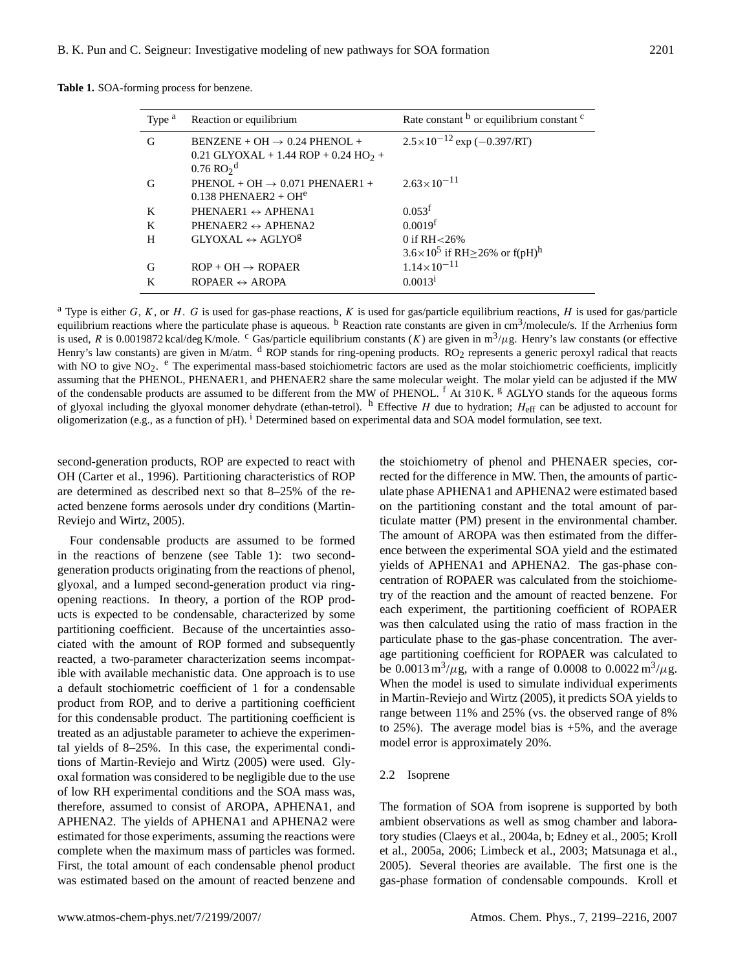| Type <sup>a</sup> | Reaction or equilibrium                                                                                                          | Rate constant b or equilibrium constant c           |
|-------------------|----------------------------------------------------------------------------------------------------------------------------------|-----------------------------------------------------|
| G                 | $BENZENE + OH \rightarrow 0.24 PHENOL +$<br>$0.21$ GLYOXAL + 1.44 ROP + 0.24 HO <sub>2</sub> +<br>$0.76 \text{ RO}_2^{\text{d}}$ | $2.5 \times 10^{-12}$ exp (-0.397/RT)               |
| G                 | PHENOL + OH $\rightarrow$ 0.071 PHENAER1 +<br>$0.138$ PHENAER2 + OH <sup>e</sup>                                                 | $2.63 \times 10^{-11}$                              |
| К                 | PHENAER1 $\leftrightarrow$ APHENA1                                                                                               | 0.053 <sup>t</sup>                                  |
| K                 | PHENAER2 $\leftrightarrow$ APHENA2                                                                                               | 0.0019 <sup>f</sup>                                 |
| Н                 | $GIYOXAL \leftrightarrow AGLYOg$                                                                                                 | 0 if $RH < 26\%$                                    |
|                   |                                                                                                                                  | $3.6 \times 10^5$ if RH > 26% or f(pH) <sup>h</sup> |
| G                 | $ROP + OH \rightarrow ROPAER$                                                                                                    | $1.14 \times 10^{-11}$                              |
| K                 | ROPAER $\leftrightarrow$ AROPA                                                                                                   | 0.0013 <sup>1</sup>                                 |

**Table 1.** SOA-forming process for benzene.

<sup>a</sup> Type is either G, K, or H. G is used for gas-phase reactions, K is used for gas/particle equilibrium reactions, H is used for gas/particle equilibrium reactions where the particulate phase is aqueous. <sup>b</sup> Reaction rate constants are given in cm<sup>3</sup>/molecule/s. If the Arrhenius form is used, R is 0.0019872 kcal/deg K/mole. <sup>c</sup> Gas/particle equilibrium constants (K) are given in m<sup>3</sup>/ $\mu$ g. Henry's law constants (or effective Henry's law constants) are given in M/atm.  $\rm^d$  ROP stands for ring-opening products. RO<sub>2</sub> represents a generic peroxyl radical that reacts with NO to give NO<sub>2</sub>. <sup>e</sup> The experimental mass-based stoichiometric factors are used as the molar stoichiometric coefficients, implicitly assuming that the PHENOL, PHENAER1, and PHENAER2 share the same molecular weight. The molar yield can be adjusted if the MW of the condensable products are assumed to be different from the MW of PHENOL. <sup>f</sup> At 310 K. <sup>g</sup> AGLYO stands for the aqueous forms of glyoxal including the glyoxal monomer dehydrate (ethan-tetrol). <sup>h</sup> Effective H due to hydration;  $H_{\text{eff}}$  can be adjusted to account for oligomerization (e.g., as a function of pH). <sup>i</sup> Determined based on experimental data and SOA model formulation, see text.

second-generation products, ROP are expected to react with OH (Carter et al., 1996). Partitioning characteristics of ROP are determined as described next so that 8–25% of the reacted benzene forms aerosols under dry conditions (Martin-Reviejo and Wirtz, 2005).

Four condensable products are assumed to be formed in the reactions of benzene (see Table 1): two secondgeneration products originating from the reactions of phenol, glyoxal, and a lumped second-generation product via ringopening reactions. In theory, a portion of the ROP products is expected to be condensable, characterized by some partitioning coefficient. Because of the uncertainties associated with the amount of ROP formed and subsequently reacted, a two-parameter characterization seems incompatible with available mechanistic data. One approach is to use a default stochiometric coefficient of 1 for a condensable product from ROP, and to derive a partitioning coefficient for this condensable product. The partitioning coefficient is treated as an adjustable parameter to achieve the experimental yields of 8–25%. In this case, the experimental conditions of Martin-Reviejo and Wirtz (2005) were used. Glyoxal formation was considered to be negligible due to the use of low RH experimental conditions and the SOA mass was, therefore, assumed to consist of AROPA, APHENA1, and APHENA2. The yields of APHENA1 and APHENA2 were estimated for those experiments, assuming the reactions were complete when the maximum mass of particles was formed. First, the total amount of each condensable phenol product was estimated based on the amount of reacted benzene and the stoichiometry of phenol and PHENAER species, corrected for the difference in MW. Then, the amounts of particulate phase APHENA1 and APHENA2 were estimated based on the partitioning constant and the total amount of particulate matter (PM) present in the environmental chamber. The amount of AROPA was then estimated from the difference between the experimental SOA yield and the estimated yields of APHENA1 and APHENA2. The gas-phase concentration of ROPAER was calculated from the stoichiometry of the reaction and the amount of reacted benzene. For each experiment, the partitioning coefficient of ROPAER was then calculated using the ratio of mass fraction in the particulate phase to the gas-phase concentration. The average partitioning coefficient for ROPAER was calculated to be 0.0013 m<sup>3</sup>/ $\mu$ g, with a range of 0.0008 to 0.0022 m<sup>3</sup>/ $\mu$ g. When the model is used to simulate individual experiments in Martin-Reviejo and Wirtz (2005), it predicts SOA yields to range between 11% and 25% (vs. the observed range of 8% to 25%). The average model bias is +5%, and the average model error is approximately 20%.

#### 2.2 Isoprene

The formation of SOA from isoprene is supported by both ambient observations as well as smog chamber and laboratory studies (Claeys et al., 2004a, b; Edney et al., 2005; Kroll et al., 2005a, 2006; Limbeck et al., 2003; Matsunaga et al., 2005). Several theories are available. The first one is the gas-phase formation of condensable compounds. Kroll et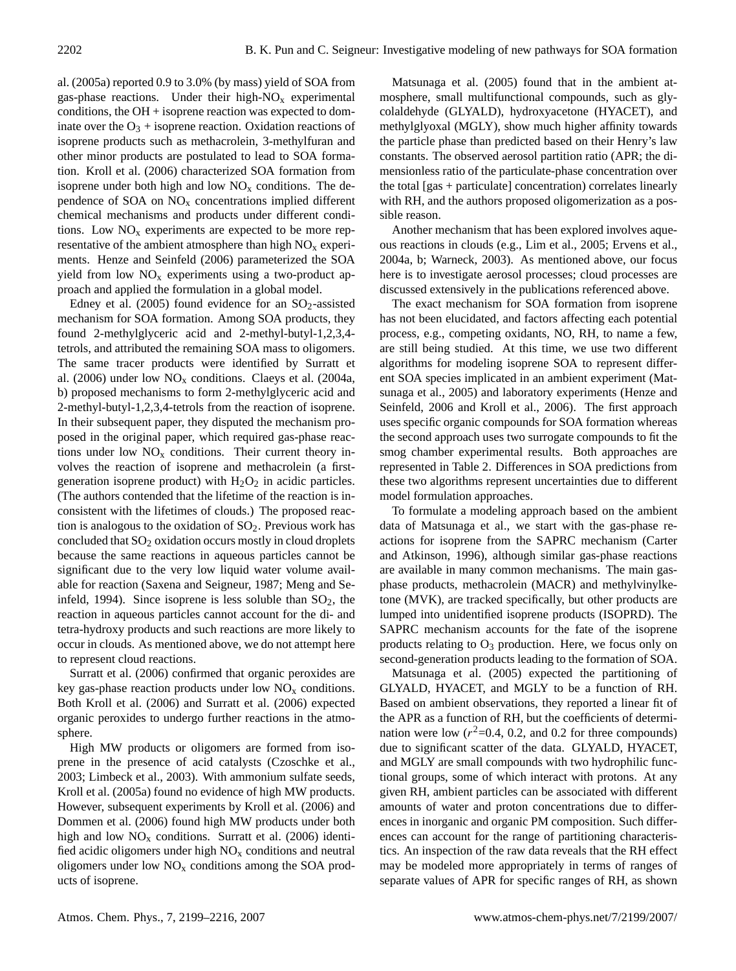al. (2005a) reported 0.9 to 3.0% (by mass) yield of SOA from gas-phase reactions. Under their high- $NO<sub>x</sub>$  experimental conditions, the OH + isoprene reaction was expected to dominate over the  $O_3$  + isoprene reaction. Oxidation reactions of isoprene products such as methacrolein, 3-methylfuran and other minor products are postulated to lead to SOA formation. Kroll et al. (2006) characterized SOA formation from isoprene under both high and low  $NO<sub>x</sub>$  conditions. The dependence of SOA on  $NO<sub>x</sub>$  concentrations implied different chemical mechanisms and products under different conditions. Low  $NO<sub>x</sub>$  experiments are expected to be more representative of the ambient atmosphere than high  $NO<sub>x</sub>$  experiments. Henze and Seinfeld (2006) parameterized the SOA yield from low  $NO<sub>x</sub>$  experiments using a two-product approach and applied the formulation in a global model.

Edney et al. (2005) found evidence for an  $SO_2$ -assisted mechanism for SOA formation. Among SOA products, they found 2-methylglyceric acid and 2-methyl-butyl-1,2,3,4 tetrols, and attributed the remaining SOA mass to oligomers. The same tracer products were identified by Surratt et al. (2006) under low  $NO<sub>x</sub>$  conditions. Claeys et al. (2004a, b) proposed mechanisms to form 2-methylglyceric acid and 2-methyl-butyl-1,2,3,4-tetrols from the reaction of isoprene. In their subsequent paper, they disputed the mechanism proposed in the original paper, which required gas-phase reactions under low  $NO<sub>x</sub>$  conditions. Their current theory involves the reaction of isoprene and methacrolein (a firstgeneration isoprene product) with  $H_2O_2$  in acidic particles. (The authors contended that the lifetime of the reaction is inconsistent with the lifetimes of clouds.) The proposed reaction is analogous to the oxidation of  $SO<sub>2</sub>$ . Previous work has concluded that  $SO<sub>2</sub>$  oxidation occurs mostly in cloud droplets because the same reactions in aqueous particles cannot be significant due to the very low liquid water volume available for reaction (Saxena and Seigneur, 1987; Meng and Seinfeld, 1994). Since isoprene is less soluble than  $SO_2$ , the reaction in aqueous particles cannot account for the di- and tetra-hydroxy products and such reactions are more likely to occur in clouds. As mentioned above, we do not attempt here to represent cloud reactions.

Surratt et al. (2006) confirmed that organic peroxides are key gas-phase reaction products under low  $NO<sub>x</sub>$  conditions. Both Kroll et al. (2006) and Surratt et al. (2006) expected organic peroxides to undergo further reactions in the atmosphere.

High MW products or oligomers are formed from isoprene in the presence of acid catalysts (Czoschke et al., 2003; Limbeck et al., 2003). With ammonium sulfate seeds, Kroll et al. (2005a) found no evidence of high MW products. However, subsequent experiments by Kroll et al. (2006) and Dommen et al. (2006) found high MW products under both high and low  $NO<sub>x</sub>$  conditions. Surratt et al. (2006) identified acidic oligomers under high  $NO<sub>x</sub>$  conditions and neutral oligomers under low  $NO<sub>x</sub>$  conditions among the SOA products of isoprene.

Matsunaga et al. (2005) found that in the ambient atmosphere, small multifunctional compounds, such as glycolaldehyde (GLYALD), hydroxyacetone (HYACET), and methylglyoxal (MGLY), show much higher affinity towards the particle phase than predicted based on their Henry's law constants. The observed aerosol partition ratio (APR; the dimensionless ratio of the particulate-phase concentration over the total [gas + particulate] concentration) correlates linearly with RH, and the authors proposed oligomerization as a possible reason.

Another mechanism that has been explored involves aqueous reactions in clouds (e.g., Lim et al., 2005; Ervens et al., 2004a, b; Warneck, 2003). As mentioned above, our focus here is to investigate aerosol processes; cloud processes are discussed extensively in the publications referenced above.

The exact mechanism for SOA formation from isoprene has not been elucidated, and factors affecting each potential process, e.g., competing oxidants, NO, RH, to name a few, are still being studied. At this time, we use two different algorithms for modeling isoprene SOA to represent different SOA species implicated in an ambient experiment (Matsunaga et al., 2005) and laboratory experiments (Henze and Seinfeld, 2006 and Kroll et al., 2006). The first approach uses specific organic compounds for SOA formation whereas the second approach uses two surrogate compounds to fit the smog chamber experimental results. Both approaches are represented in Table 2. Differences in SOA predictions from these two algorithms represent uncertainties due to different model formulation approaches.

To formulate a modeling approach based on the ambient data of Matsunaga et al., we start with the gas-phase reactions for isoprene from the SAPRC mechanism (Carter and Atkinson, 1996), although similar gas-phase reactions are available in many common mechanisms. The main gasphase products, methacrolein (MACR) and methylvinylketone (MVK), are tracked specifically, but other products are lumped into unidentified isoprene products (ISOPRD). The SAPRC mechanism accounts for the fate of the isoprene products relating to  $O_3$  production. Here, we focus only on second-generation products leading to the formation of SOA.

Matsunaga et al. (2005) expected the partitioning of GLYALD, HYACET, and MGLY to be a function of RH. Based on ambient observations, they reported a linear fit of the APR as a function of RH, but the coefficients of determination were low  $(r^2=0.4, 0.2,$  and 0.2 for three compounds) due to significant scatter of the data. GLYALD, HYACET, and MGLY are small compounds with two hydrophilic functional groups, some of which interact with protons. At any given RH, ambient particles can be associated with different amounts of water and proton concentrations due to differences in inorganic and organic PM composition. Such differences can account for the range of partitioning characteristics. An inspection of the raw data reveals that the RH effect may be modeled more appropriately in terms of ranges of separate values of APR for specific ranges of RH, as shown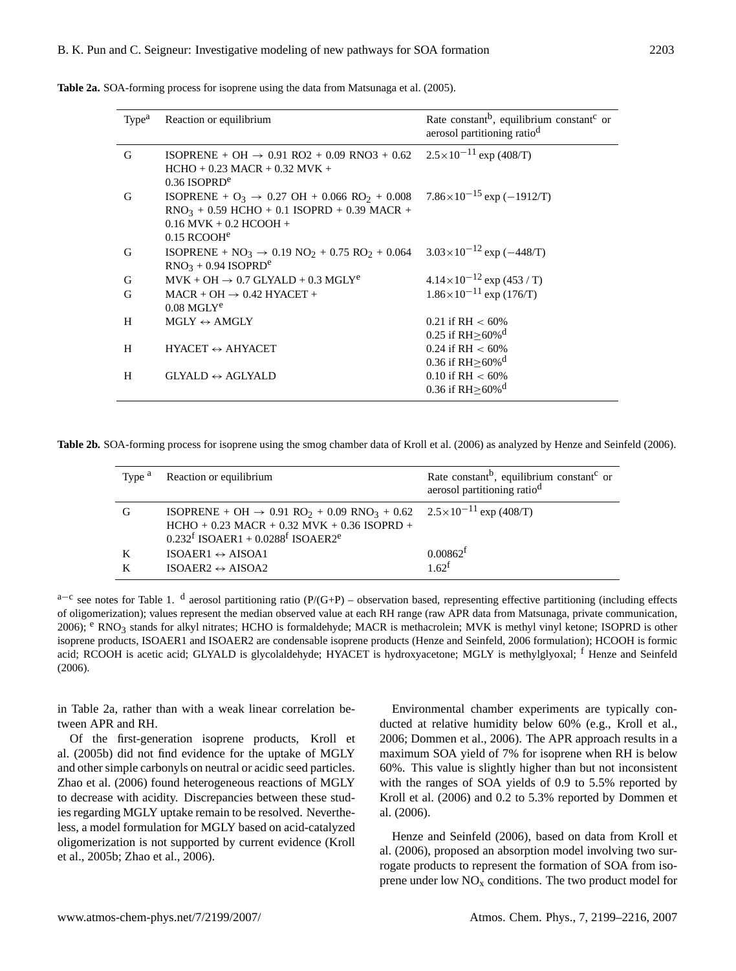**Table 2a.** SOA-forming process for isoprene using the data from Matsunaga et al. (2005).

| Type <sup>a</sup> | Reaction or equilibrium                                                                                                                                                                                                        | Rate constant <sup>b</sup> , equilibrium constant <sup>c</sup> or<br>aerosol partitioning ratio <sup>d</sup> |
|-------------------|--------------------------------------------------------------------------------------------------------------------------------------------------------------------------------------------------------------------------------|--------------------------------------------------------------------------------------------------------------|
| G                 | $ISOPRENE + OH \rightarrow 0.91 RO2 + 0.09 RNO3 + 0.62$<br>$HCHO + 0.23$ MACR + 0.32 MVK +<br>$0.36$ ISOPRD <sup>e</sup>                                                                                                       | $2.5 \times 10^{-11}$ exp (408/T)                                                                            |
| G                 | ISOPRENE + O <sub>3</sub> $\rightarrow$ 0.27 OH + 0.066 RO <sub>2</sub> + 0.008 7.86×10 <sup>-15</sup> exp (-1912/T)<br>$RNO3 + 0.59$ HCHO + 0.1 ISOPRD + 0.39 MACR +<br>$0.16$ MVK + 0.2 HCOOH +<br>$0.15$ RCOOH <sup>e</sup> |                                                                                                              |
| G                 | ISOPRENE + $NO_3 \rightarrow 0.19 NO_2 + 0.75 RO_2 + 0.064$<br>$RNO3 + 0.94$ ISOPRD <sup>e</sup>                                                                                                                               | $3.03 \times 10^{-12}$ exp (-448/T)                                                                          |
| G                 | $MVK + OH \rightarrow 0.7 GLYALD + 0.3 MGLY^e$                                                                                                                                                                                 | $4.14 \times 10^{-12}$ exp (453 / T)                                                                         |
| G                 | $MACR + OH \rightarrow 0.42$ HYACET +<br>$0.08 \text{ MGLY}$ <sup>e</sup>                                                                                                                                                      | $1.86 \times 10^{-11}$ exp (176/T)                                                                           |
| H                 | $MGLY \leftrightarrow AMGLY$                                                                                                                                                                                                   | 0.21 if RH $< 60\%$<br>0.25 if RH > $60\%$ <sup>d</sup>                                                      |
| H                 | $HYACET \leftrightarrow AHYACET$                                                                                                                                                                                               | 0.24 if RH $< 60\%$<br>0.36 if RH $>60\%$ <sup>d</sup>                                                       |
| H                 | $GLYALD \leftrightarrow AGLYALD$                                                                                                                                                                                               | $0.10$ if RH $< 60\%$<br>0.36 if RH > $60\%$ <sup>d</sup>                                                    |

**Table 2b.** SOA-forming process for isoprene using the smog chamber data of Kroll et al. (2006) as analyzed by Henze and Seinfeld (2006).

|   | Type <sup>a</sup> Reaction or equilibrium                                                                                                                                                                                                       | Rate constant <sup>b</sup> , equilibrium constant <sup>c</sup> or<br>aerosol partitioning ratio <sup>d</sup> |
|---|-------------------------------------------------------------------------------------------------------------------------------------------------------------------------------------------------------------------------------------------------|--------------------------------------------------------------------------------------------------------------|
| G | ISOPRENE + OH $\rightarrow$ 0.91 RO <sub>2</sub> + 0.09 RNO <sub>3</sub> + 0.62 2.5×10 <sup>-11</sup> exp (408/T)<br>$HCHO + 0.23$ MACR + 0.32 MVK + 0.36 ISOPRD +<br>$0.232$ <sup>f</sup> ISOAER1 + $0.0288$ <sup>f</sup> ISOAER2 <sup>e</sup> |                                                                                                              |
| K | $ISOAER1 \leftrightarrow AISOA1$                                                                                                                                                                                                                | 0.00862 <sup>†</sup>                                                                                         |
| K | $ISOAER2 \leftrightarrow AISOA2$                                                                                                                                                                                                                | 1.62 <sup>f</sup>                                                                                            |

<sup>a-c</sup> see notes for Table 1. <sup>d</sup> aerosol partitioning ratio (P/(G+P) – observation based, representing effective partitioning (including effects of oligomerization); values represent the median observed value at each RH range (raw APR data from Matsunaga, private communication,  $2006$ ;  $\text{e}$  RNO<sub>3</sub> stands for alkyl nitrates; HCHO is formaldehyde; MACR is methacrolein; MVK is methyl vinyl ketone; ISOPRD is other isoprene products, ISOAER1 and ISOAER2 are condensable isoprene products (Henze and Seinfeld, 2006 formulation); HCOOH is formic acid; RCOOH is acetic acid; GLYALD is glycolaldehyde; HYACET is hydroxyacetone; MGLY is methylglyoxal; <sup>f</sup> Henze and Seinfeld (2006).

in Table 2a, rather than with a weak linear correlation between APR and RH.

Of the first-generation isoprene products, Kroll et al. (2005b) did not find evidence for the uptake of MGLY and other simple carbonyls on neutral or acidic seed particles. Zhao et al. (2006) found heterogeneous reactions of MGLY to decrease with acidity. Discrepancies between these studies regarding MGLY uptake remain to be resolved. Nevertheless, a model formulation for MGLY based on acid-catalyzed oligomerization is not supported by current evidence (Kroll et al., 2005b; Zhao et al., 2006).

Environmental chamber experiments are typically conducted at relative humidity below 60% (e.g., Kroll et al., 2006; Dommen et al., 2006). The APR approach results in a maximum SOA yield of 7% for isoprene when RH is below 60%. This value is slightly higher than but not inconsistent with the ranges of SOA yields of 0.9 to 5.5% reported by Kroll et al. (2006) and 0.2 to 5.3% reported by Dommen et al. (2006).

Henze and Seinfeld (2006), based on data from Kroll et al. (2006), proposed an absorption model involving two surrogate products to represent the formation of SOA from isoprene under low  $NO<sub>x</sub>$  conditions. The two product model for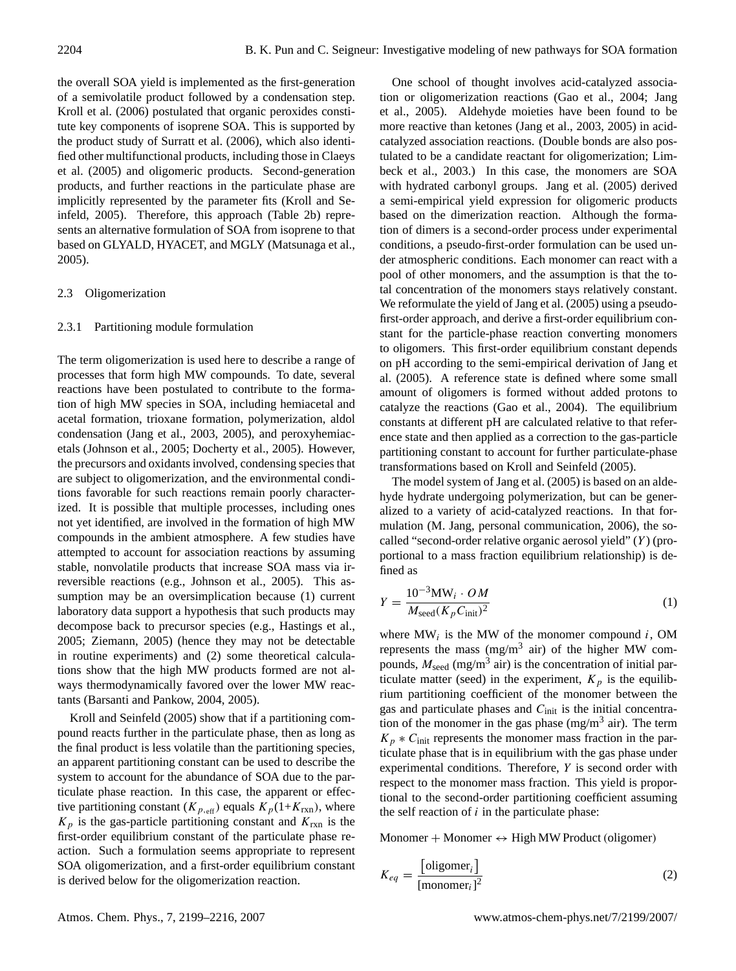the overall SOA yield is implemented as the first-generation of a semivolatile product followed by a condensation step. Kroll et al. (2006) postulated that organic peroxides constitute key components of isoprene SOA. This is supported by the product study of Surratt et al. (2006), which also identified other multifunctional products, including those in Claeys et al. (2005) and oligomeric products. Second-generation products, and further reactions in the particulate phase are implicitly represented by the parameter fits (Kroll and Seinfeld, 2005). Therefore, this approach (Table 2b) represents an alternative formulation of SOA from isoprene to that based on GLYALD, HYACET, and MGLY (Matsunaga et al., 2005).

## 2.3 Oligomerization

## 2.3.1 Partitioning module formulation

The term oligomerization is used here to describe a range of processes that form high MW compounds. To date, several reactions have been postulated to contribute to the formation of high MW species in SOA, including hemiacetal and acetal formation, trioxane formation, polymerization, aldol condensation (Jang et al., 2003, 2005), and peroxyhemiacetals (Johnson et al., 2005; Docherty et al., 2005). However, the precursors and oxidants involved, condensing species that are subject to oligomerization, and the environmental conditions favorable for such reactions remain poorly characterized. It is possible that multiple processes, including ones not yet identified, are involved in the formation of high MW compounds in the ambient atmosphere. A few studies have attempted to account for association reactions by assuming stable, nonvolatile products that increase SOA mass via irreversible reactions (e.g., Johnson et al., 2005). This assumption may be an oversimplication because (1) current laboratory data support a hypothesis that such products may decompose back to precursor species (e.g., Hastings et al., 2005; Ziemann, 2005) (hence they may not be detectable in routine experiments) and (2) some theoretical calculations show that the high MW products formed are not always thermodynamically favored over the lower MW reactants (Barsanti and Pankow, 2004, 2005).

Kroll and Seinfeld (2005) show that if a partitioning compound reacts further in the particulate phase, then as long as the final product is less volatile than the partitioning species, an apparent partitioning constant can be used to describe the system to account for the abundance of SOA due to the particulate phase reaction. In this case, the apparent or effective partitioning constant ( $K_{p,eff}$ ) equals  $K_p(1+K_{rxn})$ , where  $K_p$  is the gas-particle partitioning constant and  $K_{\text{rxn}}$  is the first-order equilibrium constant of the particulate phase reaction. Such a formulation seems appropriate to represent SOA oligomerization, and a first-order equilibrium constant is derived below for the oligomerization reaction.

One school of thought involves acid-catalyzed association or oligomerization reactions (Gao et al., 2004; Jang et al., 2005). Aldehyde moieties have been found to be more reactive than ketones (Jang et al., 2003, 2005) in acidcatalyzed association reactions. (Double bonds are also postulated to be a candidate reactant for oligomerization; Limbeck et al., 2003.) In this case, the monomers are SOA with hydrated carbonyl groups. Jang et al. (2005) derived a semi-empirical yield expression for oligomeric products based on the dimerization reaction. Although the formation of dimers is a second-order process under experimental conditions, a pseudo-first-order formulation can be used under atmospheric conditions. Each monomer can react with a pool of other monomers, and the assumption is that the total concentration of the monomers stays relatively constant. We reformulate the yield of Jang et al. (2005) using a pseudofirst-order approach, and derive a first-order equilibrium constant for the particle-phase reaction converting monomers to oligomers. This first-order equilibrium constant depends on pH according to the semi-empirical derivation of Jang et al. (2005). A reference state is defined where some small amount of oligomers is formed without added protons to catalyze the reactions (Gao et al., 2004). The equilibrium constants at different pH are calculated relative to that reference state and then applied as a correction to the gas-particle partitioning constant to account for further particulate-phase transformations based on Kroll and Seinfeld (2005).

The model system of Jang et al. (2005) is based on an aldehyde hydrate undergoing polymerization, but can be generalized to a variety of acid-catalyzed reactions. In that formulation (M. Jang, personal communication, 2006), the socalled "second-order relative organic aerosol yield"  $(Y)$  (proportional to a mass fraction equilibrium relationship) is defined as

$$
Y = \frac{10^{-3} \text{MW}_i \cdot OM}{M_{\text{seed}}(K_p C_{\text{init}})^2}
$$
 (1)

where  $MW_i$  is the MW of the monomer compound i, OM represents the mass  $(mg/m^3 air)$  of the higher MW compounds,  $M_{\text{seed}}$  (mg/m<sup>3</sup> air) is the concentration of initial particulate matter (seed) in the experiment,  $K_p$  is the equilibrium partitioning coefficient of the monomer between the gas and particulate phases and  $C<sub>init</sub>$  is the initial concentration of the monomer in the gas phase  $(mg/m<sup>3</sup>)$  air). The term  $K_p * C_{\text{init}}$  represents the monomer mass fraction in the particulate phase that is in equilibrium with the gas phase under experimental conditions. Therefore, Y is second order with respect to the monomer mass fraction. This yield is proportional to the second-order partitioning coefficient assuming the self reaction of  $i$  in the particulate phase:

Monomer + Monomer  $\leftrightarrow$  High MW Product (oligomer)

$$
K_{eq} = \frac{\text{[oligomer}_i\text{]}}{\text{[monomer}_i\text{]}^2}
$$
 (2)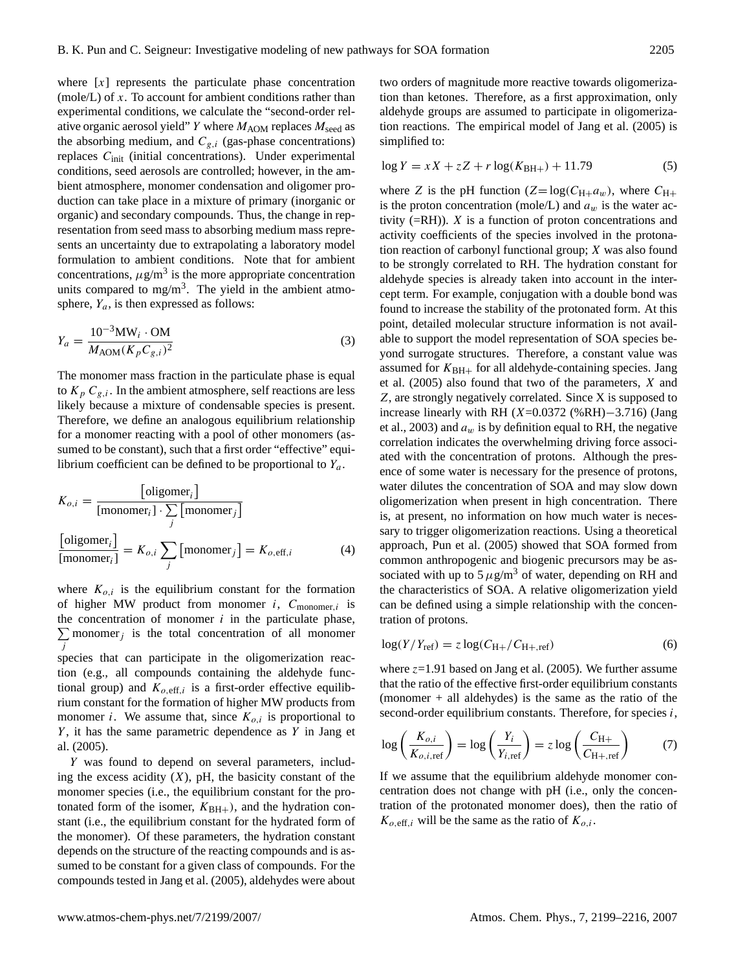where  $[x]$  represents the particulate phase concentration (mole/L) of  $x$ . To account for ambient conditions rather than experimental conditions, we calculate the "second-order relative organic aerosol yield" Y where  $M_{\text{AOM}}$  replaces  $M_{\text{seed}}$  as the absorbing medium, and  $C_{g,i}$  (gas-phase concentrations) replaces  $C<sub>init</sub>$  (initial concentrations). Under experimental conditions, seed aerosols are controlled; however, in the ambient atmosphere, monomer condensation and oligomer production can take place in a mixture of primary (inorganic or organic) and secondary compounds. Thus, the change in representation from seed mass to absorbing medium mass represents an uncertainty due to extrapolating a laboratory model formulation to ambient conditions. Note that for ambient concentrations,  $\mu$ g/m<sup>3</sup> is the more appropriate concentration units compared to mg/m<sup>3</sup>. The yield in the ambient atmosphere,  $Y_a$ , is then expressed as follows:

$$
Y_a = \frac{10^{-3} \text{MW}_i \cdot \text{OM}}{M_{\text{AOM}} (K_p C_{g,i})^2}
$$
(3)

The monomer mass fraction in the particulate phase is equal to  $K_p C_{g,i}$ . In the ambient atmosphere, self reactions are less likely because a mixture of condensable species is present. Therefore, we define an analogous equilibrium relationship for a monomer reacting with a pool of other monomers (assumed to be constant), such that a first order "effective" equilibrium coefficient can be defined to be proportional to  $Y_a$ .

$$
K_{o,i} = \frac{\text{[oligomer}_i]}{\text{[monomer}_i] \cdot \sum_j \text{[monomer}_j]}
$$
  

$$
\frac{\text{[oligomer}_i]}{\text{[monomer}_i]} = K_{o,i} \sum_j \text{[monomer}_j] = K_{o,\text{eff},i}
$$
 (4)

where  $K_{o,i}$  is the equilibrium constant for the formation of higher MW product from monomer i,  $C_{\text{monomer},i}$  is the concentration of monomer  $i$  in the particulate phase,  $\sum$  monomer<sub>j</sub> is the total concentration of all monomer j

species that can participate in the oligomerization reaction (e.g., all compounds containing the aldehyde functional group) and  $K_{o, \text{eff},i}$  is a first-order effective equilibrium constant for the formation of higher MW products from monomer *i*. We assume that, since  $K_{o,i}$  is proportional to  $Y$ , it has the same parametric dependence as  $Y$  in Jang et al. (2005).

Y was found to depend on several parameters, including the excess acidity  $(X)$ , pH, the basicity constant of the monomer species (i.e., the equilibrium constant for the protonated form of the isomer,  $K_{\text{BH+}}$ ), and the hydration constant (i.e., the equilibrium constant for the hydrated form of the monomer). Of these parameters, the hydration constant depends on the structure of the reacting compounds and is assumed to be constant for a given class of compounds. For the compounds tested in Jang et al. (2005), aldehydes were about two orders of magnitude more reactive towards oligomerization than ketones. Therefore, as a first approximation, only aldehyde groups are assumed to participate in oligomerization reactions. The empirical model of Jang et al. (2005) is simplified to:

$$
\log Y = xX + zZ + r\log(K_{\rm BH+}) + 11.79\tag{5}
$$

where Z is the pH function  $(Z = \log(C_{H+}a_w)$ , where  $C_{H+}$ is the proton concentration (mole/L) and  $a_w$  is the water activity  $(=\mathbb{R}H)$ ). X is a function of proton concentrations and activity coefficients of the species involved in the protonation reaction of carbonyl functional group; X was also found to be strongly correlated to RH. The hydration constant for aldehyde species is already taken into account in the intercept term. For example, conjugation with a double bond was found to increase the stability of the protonated form. At this point, detailed molecular structure information is not available to support the model representation of SOA species beyond surrogate structures. Therefore, a constant value was assumed for  $K_{\rm BH+}$  for all aldehyde-containing species. Jang et al. (2005) also found that two of the parameters, X and Z, are strongly negatively correlated. Since X is supposed to increase linearly with RH (X=0.0372 (%RH)−3.716) (Jang et al., 2003) and  $a_w$  is by definition equal to RH, the negative correlation indicates the overwhelming driving force associated with the concentration of protons. Although the presence of some water is necessary for the presence of protons, water dilutes the concentration of SOA and may slow down oligomerization when present in high concentration. There is, at present, no information on how much water is necessary to trigger oligomerization reactions. Using a theoretical approach, Pun et al. (2005) showed that SOA formed from common anthropogenic and biogenic precursors may be associated with up to  $5 \mu g/m^3$  of water, depending on RH and the characteristics of SOA. A relative oligomerization yield can be defined using a simple relationship with the concentration of protons.

$$
\log(Y/Y_{\text{ref}}) = z \log(C_{\text{H}+}/C_{\text{H}+,\text{ref}})
$$
 (6)

where  $z=1.91$  based on Jang et al. (2005). We further assume that the ratio of the effective first-order equilibrium constants (monomer + all aldehydes) is the same as the ratio of the second-order equilibrium constants. Therefore, for species i,

$$
\log\left(\frac{K_{o,i}}{K_{o,i,\text{ref}}}\right) = \log\left(\frac{Y_i}{Y_{i,\text{ref}}}\right) = z \log\left(\frac{C_{H+}}{C_{H+,\text{ref}}}\right) \tag{7}
$$

If we assume that the equilibrium aldehyde monomer concentration does not change with pH (i.e., only the concentration of the protonated monomer does), then the ratio of  $K_{o, \text{eff},i}$  will be the same as the ratio of  $K_{o,i}$ .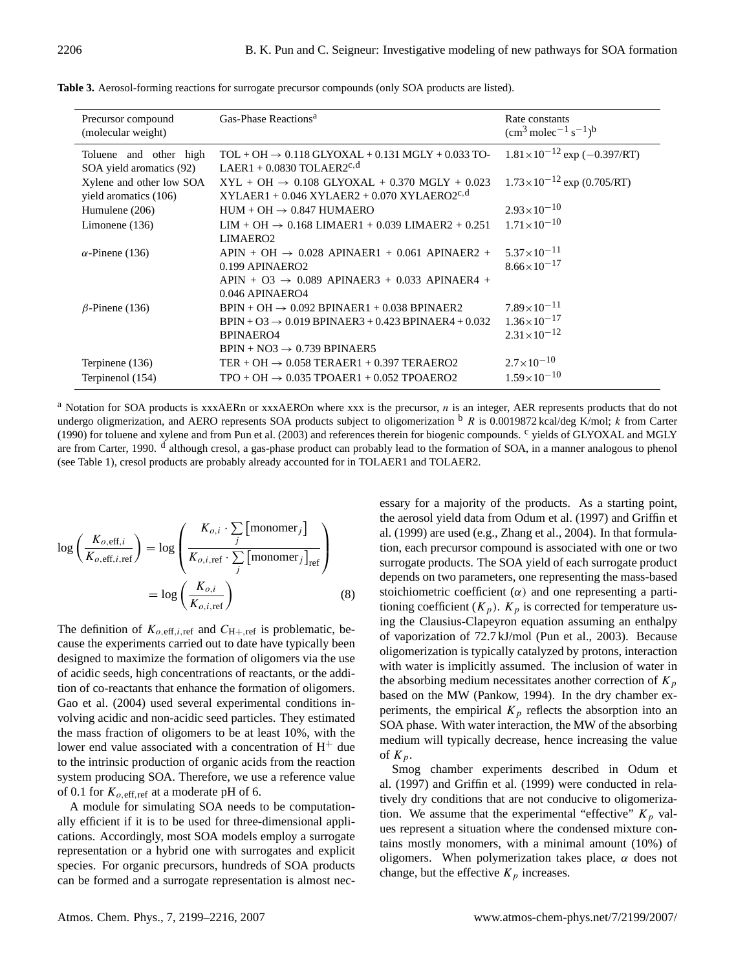| Precursor compound<br>(molecular weight)           | Gas-Phase Reactions <sup>a</sup>                                                                                                                                                          | Rate constants<br>$\rm (cm^3\,molec^{-1}\,s^{-1})^b$                       |
|----------------------------------------------------|-------------------------------------------------------------------------------------------------------------------------------------------------------------------------------------------|----------------------------------------------------------------------------|
| Toluene and other high<br>SOA yield aromatics (92) | $TOL + OH \rightarrow 0.118$ GLYOXAL + 0.131 MGLY + 0.033 TO-<br>LAER1 + $0.0830$ TOLAER2 <sup>c,d</sup>                                                                                  | $1.81 \times 10^{-12}$ exp (-0.397/RT)                                     |
| Xylene and other low SOA<br>yield aromatics (106)  | $XYL + OH \rightarrow 0.108$ GLYOXAL + 0.370 MGLY + 0.023<br>XYLAER1 + 0.046 XYLAER2 + 0.070 XYLAERO2 <sup>c,d</sup>                                                                      | $1.73 \times 10^{-12}$ exp (0.705/RT)                                      |
| Humulene (206)                                     | $HUM + OH \rightarrow 0.847 HUMAERO$                                                                                                                                                      | $2.93 \times 10^{-10}$                                                     |
| Limonene $(136)$                                   | $LIM + OH \rightarrow 0.168$ $LIMAER1 + 0.039$ $LIMAER2 + 0.251$<br>LIMAER <sub>O2</sub>                                                                                                  | $1.71 \times 10^{-10}$                                                     |
| $\alpha$ -Pinene (136)                             | $APIN + OH \rightarrow 0.028$ $APINAER1 + 0.061$ $APINAER2 +$<br>0.199 APINAERO2<br>APIN + $O3 \rightarrow 0.089$ APINAER3 + 0.033 APINAER4 +<br>0.046 APINAERO4                          | $5.37 \times 10^{-11}$<br>$8.66 \times 10^{-17}$                           |
| $\beta$ -Pinene (136)                              | $BPIN + OH \rightarrow 0.092 BPINAER1 + 0.038 BPINAER2$<br>$BPIN + O3 \rightarrow 0.019 BPINAER3 + 0.423 BPINAER4 + 0.032$<br><b>BPINAERO4</b><br>$BPIN + NO3 \rightarrow 0.739 BPINAER5$ | $7.89 \times 10^{-11}$<br>$1.36 \times 10^{-17}$<br>$2.31 \times 10^{-12}$ |
| Terpinene (136)                                    | TER + OH $\rightarrow$ 0.058 TERAER1 + 0.397 TERAERO2                                                                                                                                     | $2.7 \times 10^{-10}$                                                      |
| Terpinenol (154)                                   | $TPO + OH \rightarrow 0.035 TPOAER1 + 0.052 TPOAERO2$                                                                                                                                     | $1.59 \times 10^{-10}$                                                     |
|                                                    |                                                                                                                                                                                           |                                                                            |

**Table 3.** Aerosol-forming reactions for surrogate precursor compounds (only SOA products are listed).

 $a$  Notation for SOA products is xxxAERn or xxxAEROn where xxx is the precursor,  $n$  is an integer, AER represents products that do not undergo oligmerization, and AERO represents SOA products subject to oligomerization  $\frac{b}{b}$  R is 0.0019872 kcal/deg K/mol; k from Carter (1990) for toluene and xylene and from Pun et al. (2003) and references therein for biogenic compounds. <sup>c</sup> yields of GLYOXAL and MGLY are from Carter, 1990. <sup>d</sup> although cresol, a gas-phase product can probably lead to the formation of SOA, in a manner analogous to phenol (see Table 1), cresol products are probably already accounted for in TOLAER1 and TOLAER2.

$$
\log\left(\frac{K_{o,\text{eff},i}}{K_{o,\text{eff},i,\text{ref}}}\right) = \log\left(\frac{K_{o,i} \cdot \sum_{j} \text{[monomer}_{j}]}{K_{o,i,\text{ref}} \cdot \sum_{j} \text{[monomer}_{j}]} \right)
$$

$$
= \log\left(\frac{K_{o,i}}{K_{o,i,\text{ref}}}\right) \tag{8}
$$

The definition of  $K_{o, \text{eff}, i, \text{ref}}$  and  $C_{H+,\text{ref}}$  is problematic, because the experiments carried out to date have typically been designed to maximize the formation of oligomers via the use of acidic seeds, high concentrations of reactants, or the addition of co-reactants that enhance the formation of oligomers. Gao et al. (2004) used several experimental conditions involving acidic and non-acidic seed particles. They estimated the mass fraction of oligomers to be at least 10%, with the lower end value associated with a concentration of  $H^+$  due to the intrinsic production of organic acids from the reaction system producing SOA. Therefore, we use a reference value of 0.1 for  $K_{o, \text{eff,ref}}$  at a moderate pH of 6.

A module for simulating SOA needs to be computationally efficient if it is to be used for three-dimensional applications. Accordingly, most SOA models employ a surrogate representation or a hybrid one with surrogates and explicit species. For organic precursors, hundreds of SOA products can be formed and a surrogate representation is almost necessary for a majority of the products. As a starting point, the aerosol yield data from Odum et al. (1997) and Griffin et al. (1999) are used (e.g., Zhang et al., 2004). In that formulation, each precursor compound is associated with one or two surrogate products. The SOA yield of each surrogate product depends on two parameters, one representing the mass-based stoichiometric coefficient  $(\alpha)$  and one representing a partitioning coefficient  $(K_p)$ .  $K_p$  is corrected for temperature using the Clausius-Clapeyron equation assuming an enthalpy of vaporization of 72.7 kJ/mol (Pun et al., 2003). Because oligomerization is typically catalyzed by protons, interaction with water is implicitly assumed. The inclusion of water in the absorbing medium necessitates another correction of  $K_p$ based on the MW (Pankow, 1994). In the dry chamber experiments, the empirical  $K_p$  reflects the absorption into an SOA phase. With water interaction, the MW of the absorbing medium will typically decrease, hence increasing the value of  $K_p$ .

Smog chamber experiments described in Odum et al. (1997) and Griffin et al. (1999) were conducted in relatively dry conditions that are not conducive to oligomerization. We assume that the experimental "effective"  $K_p$  values represent a situation where the condensed mixture contains mostly monomers, with a minimal amount (10%) of oligomers. When polymerization takes place,  $\alpha$  does not change, but the effective  $K_p$  increases.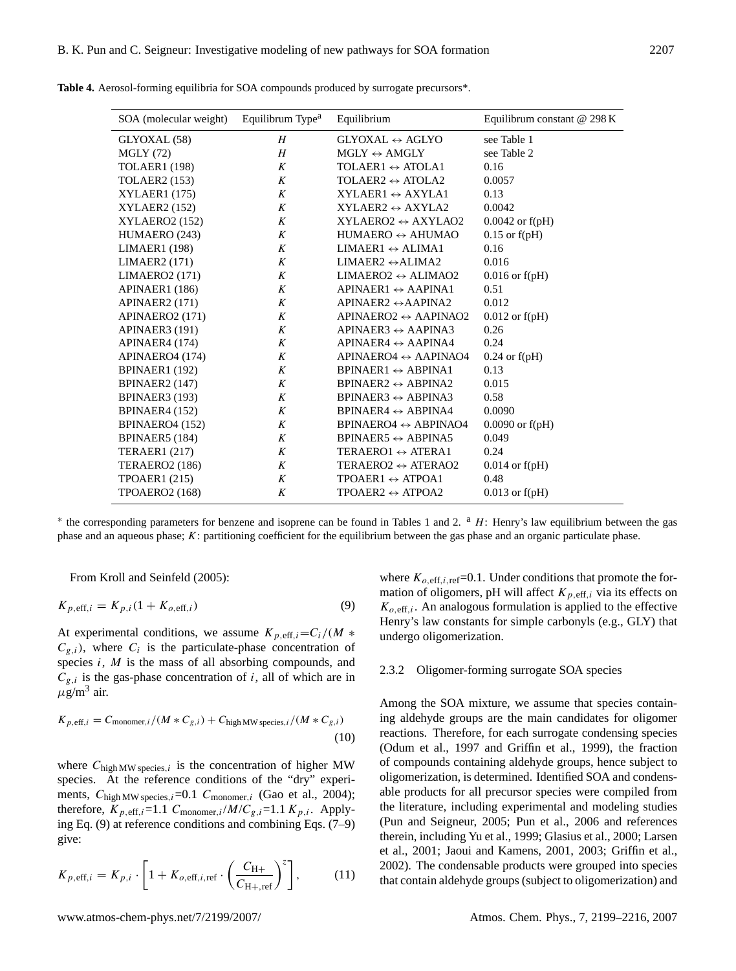| SOA (molecular weight)     | Equilibrum Type <sup>a</sup> | Equilibrium                          | Equilibrum constant $@$ 298 K |
|----------------------------|------------------------------|--------------------------------------|-------------------------------|
| GLYOXAL (58)               | H                            | $GI.YOXAL \leftrightarrow AGLYO$     | see Table 1                   |
| <b>MGLY (72)</b>           | H                            | $MGLY \leftrightarrow AMGLY$         | see Table 2                   |
| <b>TOLAER1 (198)</b>       | K                            | TOLAER1 $\leftrightarrow$ ATOLA1     | 0.16                          |
| <b>TOLAER2</b> (153)       | K                            | TOLAER2 $\leftrightarrow$ ATOLA2     | 0.0057                        |
| <b>XYLAER1</b> (175)       | K                            | $XYLAERI \leftrightarrow AXYLA1$     | 0.13                          |
| <b>XYLAER2</b> (152)       | K                            | $XYLAFR2 \leftrightarrow AXYLA2$     | 0.0042                        |
| <b>XYLAERO2</b> (152)      | K                            | $XYLAERO2 \leftrightarrow AXYLAO2$   | $0.0042$ or $f(pH)$           |
| HUMAERO (243)              | K                            | $HUMAERO \leftrightarrow AHUMAO$     | $0.15$ or $f(pH)$             |
| <b>LIMAER1</b> (198)       | K                            | LIMAER1 $\leftrightarrow$ ALIMA1     | 0.16                          |
| <b>LIMAER2</b> (171)       | K                            | $LIMAER2 \leftrightarrow ALIMA2$     | 0.016                         |
| LIMAERO <sub>2</sub> (171) | K                            | $LIMAERO2 \leftrightarrow ALIMAO2$   | $0.016$ or $f(pH)$            |
| APINAER1 (186)             | K                            | $APINAER1 \leftrightarrow AAPINA1$   | 0.51                          |
| <b>APINAER2</b> (171)      | K                            | $APINAREN2 \leftrightarrow AAPINA2$  | 0.012                         |
| APINAERO2 (171)            | K                            | $APINAFRO2 \leftrightarrow AAPINAO2$ | $0.012$ or $f(pH)$            |
| <b>APINAER3</b> (191)      | K                            | $APINAER3 \leftrightarrow AAPINA3$   | 0.26                          |
| APINAER4 (174)             | K                            | $APINAER4 \leftrightarrow AAPINA4$   | 0.24                          |
| APINAERO4 (174)            | K                            | $APINAERO4 \leftrightarrow AAPINAO4$ | $0.24$ or $f(pH)$             |
| <b>BPINAER1 (192)</b>      | K                            | $BPINAER1 \leftrightarrow ABPINA1$   | 0.13                          |
| <b>BPINAER2</b> (147)      | K                            | BPINAER2 $\leftrightarrow$ ABPINA2   | 0.015                         |
| <b>BPINAER3 (193)</b>      | K                            | BPINAER3 $\leftrightarrow$ ABPINA3   | 0.58                          |
| BPINAER4 (152)             | K                            | $BPINAER4 \leftrightarrow ABPINA4$   | 0.0090                        |
| BPINAERO4 (152)            | K                            | BPINAERO4 $\leftrightarrow$ ABPINAO4 | $0.0090$ or $f(pH)$           |
| <b>BPINAER5</b> (184)      | K                            | $BPINAER5 \leftrightarrow ABPINA5$   | 0.049                         |
| <b>TERAER1 (217)</b>       | K                            | TERAERO1 $\leftrightarrow$ ATERA1    | 0.24                          |
| <b>TERAERO2</b> (186)      | K                            | TERAERO2 $\leftrightarrow$ ATERAO2   | $0.014$ or $f(pH)$            |
| <b>TPOAER1</b> (215)       | K                            | $TPOAER1 \leftrightarrow ATPOA1$     | 0.48                          |
| <b>TPOAERO2</b> (168)      | K                            | $TPOAER2 \leftrightarrow ATPOA2$     | $0.013$ or $f(pH)$            |

**Table 4.** Aerosol-forming equilibria for SOA compounds produced by surrogate precursors\*.

\* the corresponding parameters for benzene and isoprene can be found in Tables 1 and 2. <sup>a</sup> H: Henry's law equilibrium between the gas phase and an aqueous phase; K: partitioning coefficient for the equilibrium between the gas phase and an organic particulate phase.

From Kroll and Seinfeld (2005):

$$
K_{p,\text{eff},i} = K_{p,i}(1 + K_{o,\text{eff},i})
$$
\n(9)

At experimental conditions, we assume  $K_{p,eff,i}=C_i/(M *$  $C_{g,i}$ ), where  $C_i$  is the particulate-phase concentration of species  $i$ ,  $M$  is the mass of all absorbing compounds, and  $C_{g,i}$  is the gas-phase concentration of i, all of which are in  $\mu$ g/m<sup>3</sup> air.

$$
K_{p,\text{eff},i} = C_{\text{monomer},i} / (M * C_{g,i}) + C_{\text{high MW species},i} / (M * C_{g,i})
$$
\n(10)

where  $C_{\text{high MW species},i}$  is the concentration of higher MW species. At the reference conditions of the "dry" experiments,  $C_{\text{high MW species},i}$ =0.1  $C_{\text{monomer},i}$  (Gao et al., 2004); therefore,  $K_{p,\text{eff},i}=1.1 \text{ C}_{\text{monomer},i}/M/C_{g,i}=1.1 K_{p,i}$ . Applying Eq. (9) at reference conditions and combining Eqs. (7–9) give:

$$
K_{p,\text{eff},i} = K_{p,i} \cdot \left[ 1 + K_{o,\text{eff},i,\text{ref}} \cdot \left( \frac{C_{\text{H+}}}{C_{\text{H+},\text{ref}}} \right)^z \right],\tag{11}
$$

where  $K_{o, \text{eff}, i, \text{ref}} = 0.1$ . Under conditions that promote the formation of oligomers, pH will affect  $K_{p,eff,i}$  via its effects on  $K_{o, \text{eff},i}$ . An analogous formulation is applied to the effective Henry's law constants for simple carbonyls (e.g., GLY) that undergo oligomerization.

# 2.3.2 Oligomer-forming surrogate SOA species

Among the SOA mixture, we assume that species containing aldehyde groups are the main candidates for oligomer reactions. Therefore, for each surrogate condensing species (Odum et al., 1997 and Griffin et al., 1999), the fraction of compounds containing aldehyde groups, hence subject to oligomerization, is determined. Identified SOA and condensable products for all precursor species were compiled from the literature, including experimental and modeling studies (Pun and Seigneur, 2005; Pun et al., 2006 and references therein, including Yu et al., 1999; Glasius et al., 2000; Larsen et al., 2001; Jaoui and Kamens, 2001, 2003; Griffin et al., 2002). The condensable products were grouped into species that contain aldehyde groups (subject to oligomerization) and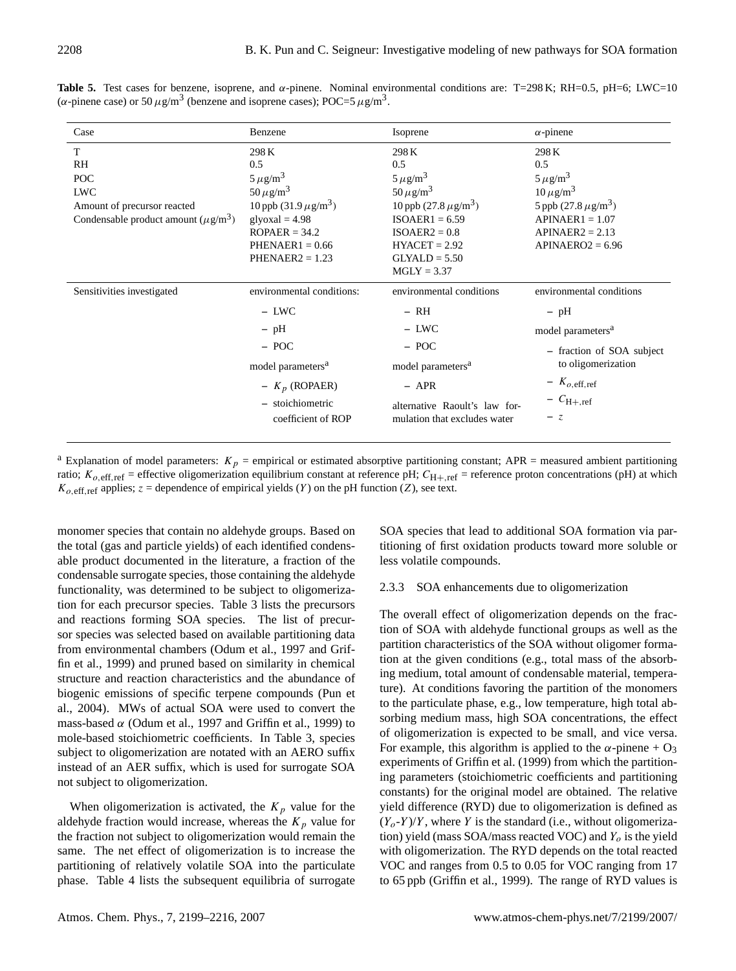**Table 5.** Test cases for benzene, isoprene, and  $\alpha$ -pinene. Nominal environmental conditions are: T=298 K; RH=0.5, pH=6; LWC=10 (α-pinene case) or 50  $\mu$ g/m<sup>3</sup> (benzene and isoprene cases); POC=5  $\mu$ g/m<sup>3</sup>.

| Case                                                                                                           | Benzene                                                                                                                                                                    | Isoprene                                                                                                                                                                     | $\alpha$ -pinene                                                                                                                                                      |
|----------------------------------------------------------------------------------------------------------------|----------------------------------------------------------------------------------------------------------------------------------------------------------------------------|------------------------------------------------------------------------------------------------------------------------------------------------------------------------------|-----------------------------------------------------------------------------------------------------------------------------------------------------------------------|
| T<br>RH<br><b>POC</b><br><b>LWC</b><br>Amount of precursor reacted<br>Condensable product amount $(\mu g/m^3)$ | 298 K<br>0.5<br>$5 \mu g/m^3$<br>50 $\mu$ g/m <sup>3</sup><br>10 ppb $(31.9 \,\mu g/m^3)$<br>glyoxal = $4.98$<br>$ROPAER = 34.2$<br>$PHENAER1 = 0.66$<br>$PHENAER2 = 1.23$ | 298 K<br>0.5<br>$5 \mu g/m^3$<br>$50 \mu g/m^3$<br>10 ppb $(27.8 \,\mu g/m^3)$<br>$ISOAER1 = 6.59$<br>$ISOAER2 = 0.8$<br>$HYACET = 2.92$<br>$GLYALD = 5.50$<br>$MGLY = 3.37$ | 298 K<br>0.5<br>$5 \mu g/m^3$<br>$10 \mu$ g/m <sup>3</sup><br>5 ppb $(27.8 \,\mu g/m^3)$<br>$APINAER1 = 1.07$<br>$APINAER2 = 2.13$<br>$APINAERO2 = 6.96$              |
| Sensitivities investigated                                                                                     | environmental conditions:<br>$- LWC$<br>$-$ pH<br>$-$ POC<br>model parameters <sup>a</sup><br>$-$ K <sub>p</sub> (ROPAER)<br>- stoichiometric<br>coefficient of ROP        | environmental conditions<br>$- RH$<br>$- LWC$<br>$-$ POC<br>model parameters <sup>a</sup><br>$-$ APR<br>alternative Raoult's law for-<br>mulation that excludes water        | environmental conditions<br>$-$ pH<br>model parameters <sup>a</sup><br>- fraction of SOA subject<br>to oligomerization<br>$-K_{o,eff,ref}$<br>$- C_{H+,ref}$<br>$- z$ |

<sup>a</sup> Explanation of model parameters:  $K_p$  = empirical or estimated absorptive partitioning constant; APR = measured ambient partitioning ratio;  $K_{o, \text{eff}, \text{ref}}$  = effective oligomerization equilibrium constant at reference pH;  $C_{H+,\text{ref}}$  = reference proton concentrations (pH) at which  $K_{o, \text{eff,ref}}$  applies;  $z =$  dependence of empirical yields (Y) on the pH function (Z), see text.

monomer species that contain no aldehyde groups. Based on the total (gas and particle yields) of each identified condensable product documented in the literature, a fraction of the condensable surrogate species, those containing the aldehyde functionality, was determined to be subject to oligomerization for each precursor species. Table 3 lists the precursors and reactions forming SOA species. The list of precursor species was selected based on available partitioning data from environmental chambers (Odum et al., 1997 and Griffin et al., 1999) and pruned based on similarity in chemical structure and reaction characteristics and the abundance of biogenic emissions of specific terpene compounds (Pun et al., 2004). MWs of actual SOA were used to convert the mass-based  $\alpha$  (Odum et al., 1997 and Griffin et al., 1999) to mole-based stoichiometric coefficients. In Table 3, species subject to oligomerization are notated with an AERO suffix instead of an AER suffix, which is used for surrogate SOA not subject to oligomerization.

When oligomerization is activated, the  $K_p$  value for the aldehyde fraction would increase, whereas the  $K_p$  value for the fraction not subject to oligomerization would remain the same. The net effect of oligomerization is to increase the partitioning of relatively volatile SOA into the particulate phase. Table 4 lists the subsequent equilibria of surrogate SOA species that lead to additional SOA formation via partitioning of first oxidation products toward more soluble or less volatile compounds.

#### 2.3.3 SOA enhancements due to oligomerization

The overall effect of oligomerization depends on the fraction of SOA with aldehyde functional groups as well as the partition characteristics of the SOA without oligomer formation at the given conditions (e.g., total mass of the absorbing medium, total amount of condensable material, temperature). At conditions favoring the partition of the monomers to the particulate phase, e.g., low temperature, high total absorbing medium mass, high SOA concentrations, the effect of oligomerization is expected to be small, and vice versa. For example, this algorithm is applied to the  $\alpha$ -pinene + O<sub>3</sub> experiments of Griffin et al. (1999) from which the partitioning parameters (stoichiometric coefficients and partitioning constants) for the original model are obtained. The relative yield difference (RYD) due to oligomerization is defined as  $(Y_o-Y)/Y$ , where Y is the standard (i.e., without oligomerization) yield (mass SOA/mass reacted VOC) and  $Y<sub>o</sub>$  is the yield with oligomerization. The RYD depends on the total reacted VOC and ranges from 0.5 to 0.05 for VOC ranging from 17 to 65 ppb (Griffin et al., 1999). The range of RYD values is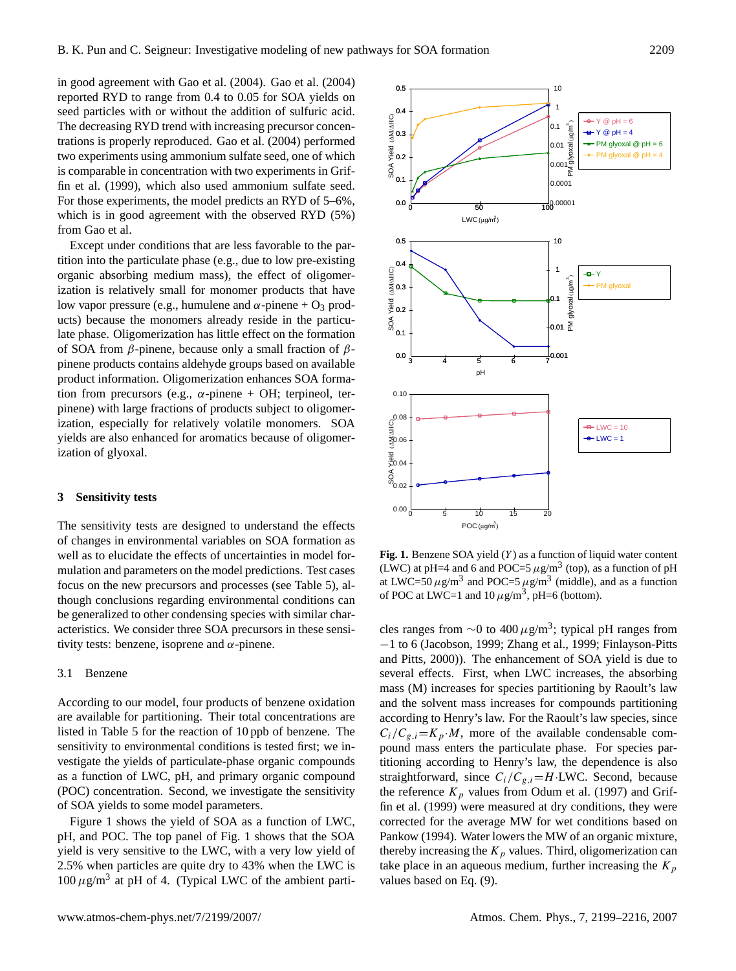in good agreement with Gao et al. (2004). Gao et al. (2004) reported RYD to range from 0.4 to 0.05 for SOA yields on seed particles with or without the addition of sulfuric acid. The decreasing RYD trend with increasing precursor concentrations is properly reproduced. Gao et al. (2004) performed two experiments using ammonium sulfate seed, one of which is comparable in concentration with two experiments in Griffin et al. (1999), which also used ammonium sulfate seed. For those experiments, the model predicts an RYD of 5–6%, which is in good agreement with the observed RYD (5%) from Gao et al.

Except under conditions that are less favorable to the partition into the particulate phase (e.g., due to low pre-existing organic absorbing medium mass), the effect of oligomerization is relatively small for monomer products that have low vapor pressure (e.g., humulene and  $\alpha$ -pinene + O<sub>3</sub> products) because the monomers already reside in the particulate phase. Oligomerization has little effect on the formation of SOA from  $\beta$ -pinene, because only a small fraction of  $\beta$ pinene products contains aldehyde groups based on available product information. Oligomerization enhances SOA formation from precursors (e.g.,  $\alpha$ -pinene + OH; terpineol, terpinene) with large fractions of products subject to oligomerization, especially for relatively volatile monomers. SOA yields are also enhanced for aromatics because of oligomerization of glyoxal.

#### **3 Sensitivity tests**

The sensitivity tests are designed to understand the effects of changes in environmental variables on SOA formation as well as to elucidate the effects of uncertainties in model formulation and parameters on the model predictions. Test cases focus on the new precursors and processes (see Table 5), although conclusions regarding environmental conditions can be generalized to other condensing species with similar characteristics. We consider three SOA precursors in these sensitivity tests: benzene, isoprene and  $\alpha$ -pinene.

## 3.1 Benzene

According to our model, four products of benzene oxidation are available for partitioning. Their total concentrations are listed in Table 5 for the reaction of 10 ppb of benzene. The sensitivity to environmental conditions is tested first; we investigate the yields of particulate-phase organic compounds as a function of LWC, pH, and primary organic compound (POC) concentration. Second, we investigate the sensitivity of SOA yields to some model parameters.

Figure 1 shows the yield of SOA as a function of LWC, pH, and POC. The top panel of Fig. 1 shows that the SOA yield is very sensitive to the LWC, with a very low yield of 2.5% when particles are quite dry to 43% when the LWC is  $100 \,\mu\text{g/m}^3$  at pH of 4. (Typical LWC of the ambient parti-



**Fig. 1.** Benzene SOA yield  $(Y)$  as a function of liquid water content (LWC) at pH=4 and 6 and POC=5  $\mu$ g/m<sup>3</sup> (top), as a function of pH at LWC=50  $\mu$ g/m<sup>3</sup> and POC=5  $\mu$ g/m<sup>3</sup> (middle), and as a function of POC at LWC=1 and  $10 \mu g/m^3$ , pH=6 (bottom).

cles ranges from  $\sim$ 0 to 400 µg/m<sup>3</sup>; typical pH ranges from −1 to 6 (Jacobson, 1999; Zhang et al., 1999; Finlayson-Pitts and Pitts, 2000)). The enhancement of SOA yield is due to several effects. First, when LWC increases, the absorbing mass (M) increases for species partitioning by Raoult's law and the solvent mass increases for compounds partitioning according to Henry's law. For the Raoult's law species, since  $C_i/C_{g,i}=K_p\cdot M$ , more of the available condensable compound mass enters the particulate phase. For species partitioning according to Henry's law, the dependence is also straightforward, since  $C_i/C_{g,i} = H \cdot LWC$ . Second, because the reference  $K_p$  values from Odum et al. (1997) and Griffin et al. (1999) were measured at dry conditions, they were corrected for the average MW for wet conditions based on Pankow (1994). Water lowers the MW of an organic mixture, thereby increasing the  $K_p$  values. Third, oligomerization can take place in an aqueous medium, further increasing the  $K_p$ values based on Eq. (9).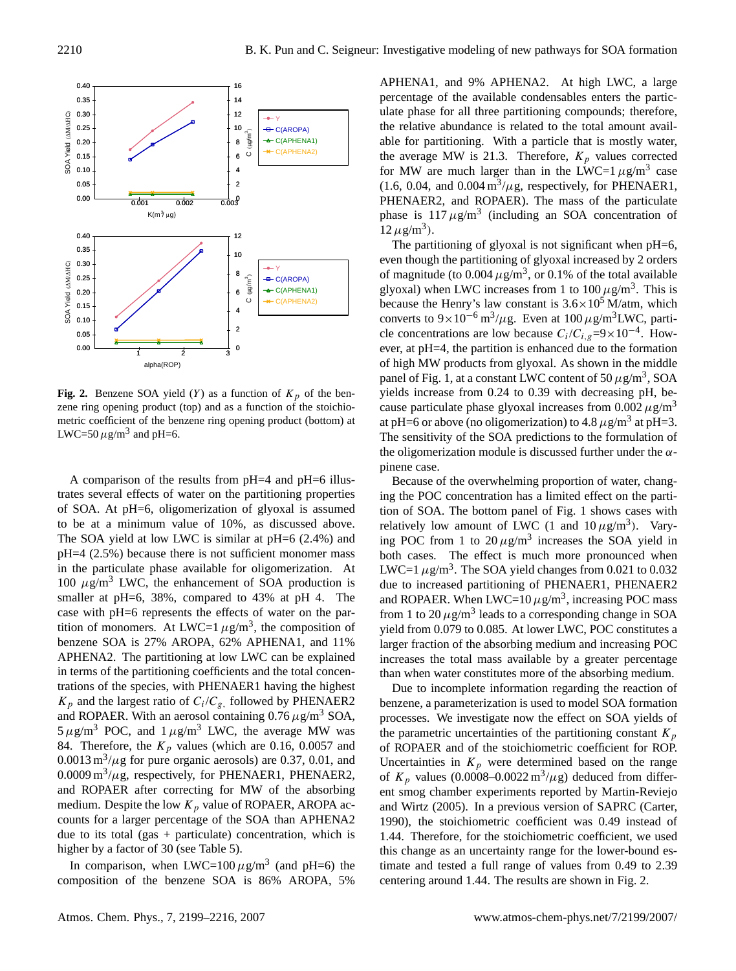

**Fig. 2.** Benzene SOA yield (Y) as a function of  $K_p$  of the benzene ring opening product (top) and as a function of the stoichiometric coefficient of the benzene ring opening product (bottom) at LWC=50  $\mu$ g/m<sup>3</sup> and pH=6.

A comparison of the results from pH=4 and pH=6 illustrates several effects of water on the partitioning properties of SOA. At pH=6, oligomerization of glyoxal is assumed to be at a minimum value of 10%, as discussed above. The SOA yield at low LWC is similar at pH=6 (2.4%) and pH=4 (2.5%) because there is not sufficient monomer mass in the particulate phase available for oligomerization. At 100  $\mu$ g/m<sup>3</sup> LWC, the enhancement of SOA production is smaller at pH=6, 38%, compared to 43% at pH 4. The case with pH=6 represents the effects of water on the partition of monomers. At LWC=1  $\mu$ g/m<sup>3</sup>, the composition of benzene SOA is 27% AROPA, 62% APHENA1, and 11% APHENA2. The partitioning at low LWC can be explained in terms of the partitioning coefficients and the total concentrations of the species, with PHENAER1 having the highest  $K_p$  and the largest ratio of  $C_i/C_g$ , followed by PHENAER2 and ROPAER. With an aerosol containing  $0.76 \,\mu\text{g/m}^3$  SOA,  $5 \mu$ g/m<sup>3</sup> POC, and  $1 \mu$ g/m<sup>3</sup> LWC, the average MW was 84. Therefore, the  $K_p$  values (which are 0.16, 0.0057 and  $0.0013 \text{ m}^3/\mu\text{g}$  for pure organic aerosols) are 0.37, 0.01, and  $0.0009 \,\mathrm{m}^3/\mu$ g, respectively, for PHENAER1, PHENAER2, and ROPAER after correcting for MW of the absorbing medium. Despite the low  $K_p$  value of ROPAER, AROPA accounts for a larger percentage of the SOA than APHENA2 due to its total (gas + particulate) concentration, which is higher by a factor of 30 (see Table 5).

In comparison, when LWC=100  $\mu$ g/m<sup>3</sup> (and pH=6) the composition of the benzene SOA is 86% AROPA, 5% APHENA1, and 9% APHENA2. At high LWC, a large percentage of the available condensables enters the particulate phase for all three partitioning compounds; therefore, the relative abundance is related to the total amount available for partitioning. With a particle that is mostly water, the average MW is 21.3. Therefore,  $K_p$  values corrected for MW are much larger than in the LWC=1  $\mu$ g/m<sup>3</sup> case  $(1.6, 0.04, \text{ and } 0.004 \,\text{m}^3/\mu\text{g}$ , respectively, for PHENAER1, PHENAER2, and ROPAER). The mass of the particulate phase is  $117 \mu g/m^3$  (including an SOA concentration of  $12 \,\mu g/m^3$ ).

The partitioning of glyoxal is not significant when  $pH=6$ , even though the partitioning of glyoxal increased by 2 orders of magnitude (to  $0.004 \mu g/m^3$ , or 0.1% of the total available glyoxal) when LWC increases from 1 to  $100 \mu g/m^3$ . This is because the Henry's law constant is  $3.6 \times 10^5$  M/atm, which converts to  $9 \times 10^{-6}$  m<sup>3</sup>/ $\mu$ g. Even at 100  $\mu$ g/m<sup>3</sup>LWC, particle concentrations are low because  $C_i/C_{i,g} = 9 \times 10^{-4}$ . However, at pH=4, the partition is enhanced due to the formation of high MW products from glyoxal. As shown in the middle panel of Fig. 1, at a constant LWC content of 50  $\mu$ g/m<sup>3</sup>, SOA yields increase from 0.24 to 0.39 with decreasing pH, because particulate phase glyoxal increases from  $0.002 \mu g/m<sup>3</sup>$ at pH=6 or above (no oligomerization) to 4.8  $\mu$ g/m<sup>3</sup> at pH=3. The sensitivity of the SOA predictions to the formulation of the oligomerization module is discussed further under the  $\alpha$ pinene case.

Because of the overwhelming proportion of water, changing the POC concentration has a limited effect on the partition of SOA. The bottom panel of Fig. 1 shows cases with relatively low amount of LWC (1 and  $10 \mu g/m^3$ ). Varying POC from 1 to  $20 \mu g/m^3$  increases the SOA yield in both cases. The effect is much more pronounced when LWC=1  $\mu$ g/m<sup>3</sup>. The SOA yield changes from 0.021 to 0.032 due to increased partitioning of PHENAER1, PHENAER2 and ROPAER. When  $LWC=10 \mu g/m^3$ , increasing POC mass from 1 to 20  $\mu$ g/m<sup>3</sup> leads to a corresponding change in SOA yield from 0.079 to 0.085. At lower LWC, POC constitutes a larger fraction of the absorbing medium and increasing POC increases the total mass available by a greater percentage than when water constitutes more of the absorbing medium.

Due to incomplete information regarding the reaction of benzene, a parameterization is used to model SOA formation processes. We investigate now the effect on SOA yields of the parametric uncertainties of the partitioning constant  $K_p$ of ROPAER and of the stoichiometric coefficient for ROP. Uncertainties in  $K_p$  were determined based on the range of  $K_p$  values (0.0008–0.0022 m<sup>3</sup>/ $\mu$ g) deduced from different smog chamber experiments reported by Martin-Reviejo and Wirtz (2005). In a previous version of SAPRC (Carter, 1990), the stoichiometric coefficient was 0.49 instead of 1.44. Therefore, for the stoichiometric coefficient, we used this change as an uncertainty range for the lower-bound estimate and tested a full range of values from 0.49 to 2.39 centering around 1.44. The results are shown in Fig. 2.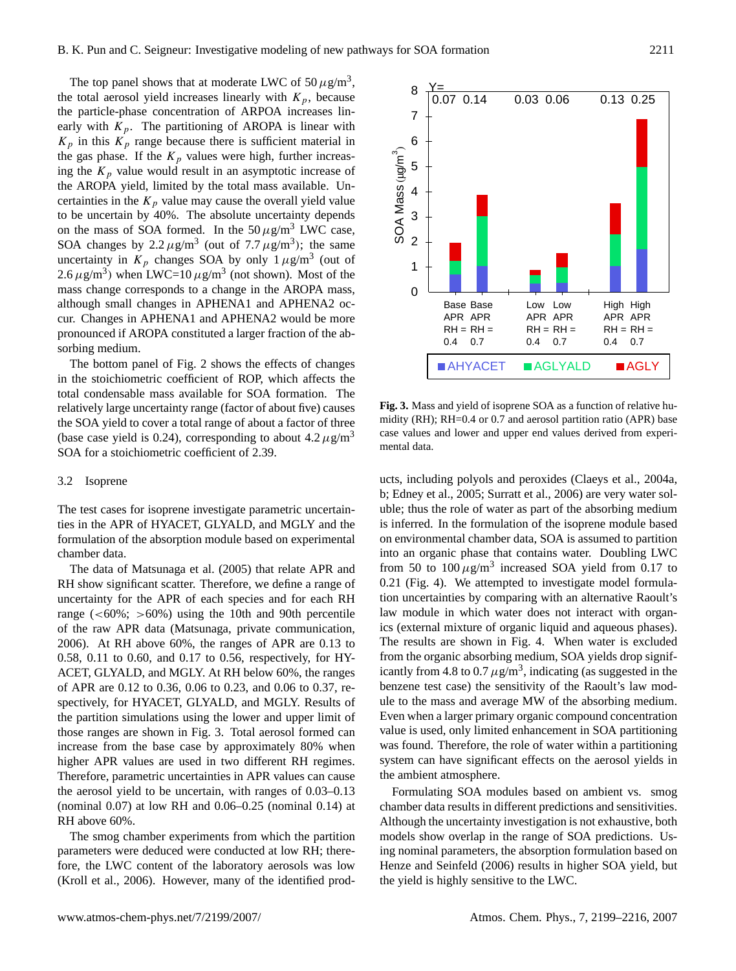The top panel shows that at moderate LWC of  $50 \,\mu g/m^3$ , the total aerosol yield increases linearly with  $K_p$ , because the particle-phase concentration of ARPOA increases linearly with  $K_p$ . The partitioning of AROPA is linear with  $K_p$  in this  $K_p$  range because there is sufficient material in the gas phase. If the  $K_p$  values were high, further increasing the  $K_p$  value would result in an asymptotic increase of the AROPA yield, limited by the total mass available. Uncertainties in the  $K_p$  value may cause the overall yield value to be uncertain by 40%. The absolute uncertainty depends on the mass of SOA formed. In the  $50 \mu g/m^3$  LWC case, SOA changes by  $2.2 \mu g/m^3$  (out of  $7.7 \mu g/m^3$ ); the same uncertainty in  $K_p$  changes SOA by only  $1 \mu g/m^3$  (out of  $2.6 \,\mu\text{g/m}^3$ ) when LWC=10  $\mu\text{g/m}^3$  (not shown). Most of the mass change corresponds to a change in the AROPA mass, although small changes in APHENA1 and APHENA2 occur. Changes in APHENA1 and APHENA2 would be more pronounced if AROPA constituted a larger fraction of the absorbing medium.

The bottom panel of Fig. 2 shows the effects of changes in the stoichiometric coefficient of ROP, which affects the total condensable mass available for SOA formation. The relatively large uncertainty range (factor of about five) causes the SOA yield to cover a total range of about a factor of three (base case yield is 0.24), corresponding to about  $4.2 \,\mu$ g/m<sup>3</sup> SOA for a stoichiometric coefficient of 2.39.

#### 3.2 Isoprene

The test cases for isoprene investigate parametric uncertainties in the APR of HYACET, GLYALD, and MGLY and the formulation of the absorption module based on experimental chamber data.

The data of Matsunaga et al. (2005) that relate APR and RH show significant scatter. Therefore, we define a range of uncertainty for the APR of each species and for each RH range  $(<60\%; >60\%)$  using the 10th and 90th percentile of the raw APR data (Matsunaga, private communication, 2006). At RH above 60%, the ranges of APR are 0.13 to 0.58, 0.11 to 0.60, and 0.17 to 0.56, respectively, for HY-ACET, GLYALD, and MGLY. At RH below 60%, the ranges of APR are 0.12 to 0.36, 0.06 to 0.23, and 0.06 to 0.37, respectively, for HYACET, GLYALD, and MGLY. Results of the partition simulations using the lower and upper limit of those ranges are shown in Fig. 3. Total aerosol formed can increase from the base case by approximately 80% when higher APR values are used in two different RH regimes. Therefore, parametric uncertainties in APR values can cause the aerosol yield to be uncertain, with ranges of 0.03–0.13 (nominal 0.07) at low RH and 0.06–0.25 (nominal 0.14) at RH above 60%.

The smog chamber experiments from which the partition parameters were deduced were conducted at low RH; therefore, the LWC content of the laboratory aerosols was low (Kroll et al., 2006). However, many of the identified prod-



**Fig. 3.** Mass and yield of isoprene SOA as a function of relative humidity (RH); RH=0.4 or 0.7 and aerosol partition ratio (APR) base case values and lower and upper end values derived from experimental data.

ucts, including polyols and peroxides (Claeys et al., 2004a, b; Edney et al., 2005; Surratt et al., 2006) are very water soluble; thus the role of water as part of the absorbing medium is inferred. In the formulation of the isoprene module based on environmental chamber data, SOA is assumed to partition into an organic phase that contains water. Doubling LWC from 50 to  $100 \mu g/m^3$  increased SOA yield from 0.17 to 0.21 (Fig. 4). We attempted to investigate model formulation uncertainties by comparing with an alternative Raoult's law module in which water does not interact with organics (external mixture of organic liquid and aqueous phases). The results are shown in Fig. 4. When water is excluded from the organic absorbing medium, SOA yields drop significantly from 4.8 to 0.7  $\mu$ g/m<sup>3</sup>, indicating (as suggested in the benzene test case) the sensitivity of the Raoult's law module to the mass and average MW of the absorbing medium. Even when a larger primary organic compound concentration value is used, only limited enhancement in SOA partitioning was found. Therefore, the role of water within a partitioning system can have significant effects on the aerosol yields in the ambient atmosphere.

Formulating SOA modules based on ambient vs. smog chamber data results in different predictions and sensitivities. Although the uncertainty investigation is not exhaustive, both models show overlap in the range of SOA predictions. Using nominal parameters, the absorption formulation based on Henze and Seinfeld (2006) results in higher SOA yield, but the yield is highly sensitive to the LWC.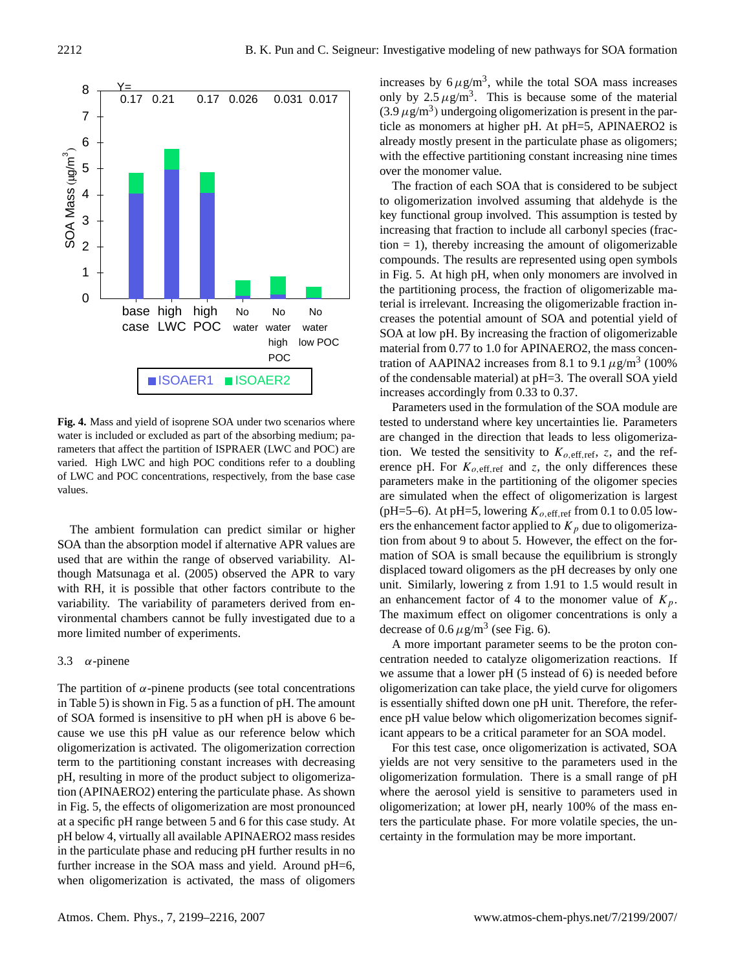

**Fig. 4.** Mass and yield of isoprene SOA under two scenarios where water is included or excluded as part of the absorbing medium; parameters that affect the partition of ISPRAER (LWC and POC) are varied. High LWC and high POC conditions refer to a doubling of LWC and POC concentrations, respectively, from the base case values.

The ambient formulation can predict similar or higher SOA than the absorption model if alternative APR values are used that are within the range of observed variability. Although Matsunaga et al. (2005) observed the APR to vary with RH, it is possible that other factors contribute to the variability. The variability of parameters derived from environmental chambers cannot be fully investigated due to a more limited number of experiments.

## 3.3 α-pinene

The partition of  $\alpha$ -pinene products (see total concentrations in Table 5) is shown in Fig. 5 as a function of pH. The amount of SOA formed is insensitive to pH when pH is above 6 because we use this pH value as our reference below which oligomerization is activated. The oligomerization correction term to the partitioning constant increases with decreasing pH, resulting in more of the product subject to oligomerization (APINAERO2) entering the particulate phase. As shown in Fig. 5, the effects of oligomerization are most pronounced at a specific pH range between 5 and 6 for this case study. At pH below 4, virtually all available APINAERO2 mass resides in the particulate phase and reducing pH further results in no further increase in the SOA mass and yield. Around pH=6, when oligomerization is activated, the mass of oligomers

increases by  $6 \mu g/m^3$ , while the total SOA mass increases only by  $2.5 \mu g/m^3$ . This is because some of the material  $(3.9 \,\mu\text{g/m}^3)$  undergoing oligomerization is present in the particle as monomers at higher pH. At pH=5, APINAERO2 is already mostly present in the particulate phase as oligomers; with the effective partitioning constant increasing nine times over the monomer value.

The fraction of each SOA that is considered to be subject to oligomerization involved assuming that aldehyde is the key functional group involved. This assumption is tested by increasing that fraction to include all carbonyl species (frac $tion = 1$ , thereby increasing the amount of oligomerizable compounds. The results are represented using open symbols in Fig. 5. At high pH, when only monomers are involved in the partitioning process, the fraction of oligomerizable material is irrelevant. Increasing the oligomerizable fraction increases the potential amount of SOA and potential yield of SOA at low pH. By increasing the fraction of oligomerizable material from 0.77 to 1.0 for APINAERO2, the mass concentration of AAPINA2 increases from 8.1 to 9.1  $\mu$ g/m<sup>3</sup> (100%) of the condensable material) at pH=3. The overall SOA yield increases accordingly from 0.33 to 0.37.

Parameters used in the formulation of the SOA module are tested to understand where key uncertainties lie. Parameters are changed in the direction that leads to less oligomerization. We tested the sensitivity to  $K_{o, \text{eff,ref}}, z$ , and the reference pH. For  $K_{o, \text{eff,ref}}$  and z, the only differences these parameters make in the partitioning of the oligomer species are simulated when the effect of oligomerization is largest (pH=5–6). At pH=5, lowering  $K_{o,eff,ref}$  from 0.1 to 0.05 lowers the enhancement factor applied to  $K_p$  due to oligomerization from about 9 to about 5. However, the effect on the formation of SOA is small because the equilibrium is strongly displaced toward oligomers as the pH decreases by only one unit. Similarly, lowering z from 1.91 to 1.5 would result in an enhancement factor of 4 to the monomer value of  $K_p$ . The maximum effect on oligomer concentrations is only a decrease of  $0.6 \,\mu\text{g/m}^3$  (see Fig. 6).

A more important parameter seems to be the proton concentration needed to catalyze oligomerization reactions. If we assume that a lower pH (5 instead of 6) is needed before oligomerization can take place, the yield curve for oligomers is essentially shifted down one pH unit. Therefore, the reference pH value below which oligomerization becomes significant appears to be a critical parameter for an SOA model.

For this test case, once oligomerization is activated, SOA yields are not very sensitive to the parameters used in the oligomerization formulation. There is a small range of pH where the aerosol yield is sensitive to parameters used in oligomerization; at lower pH, nearly 100% of the mass enters the particulate phase. For more volatile species, the uncertainty in the formulation may be more important.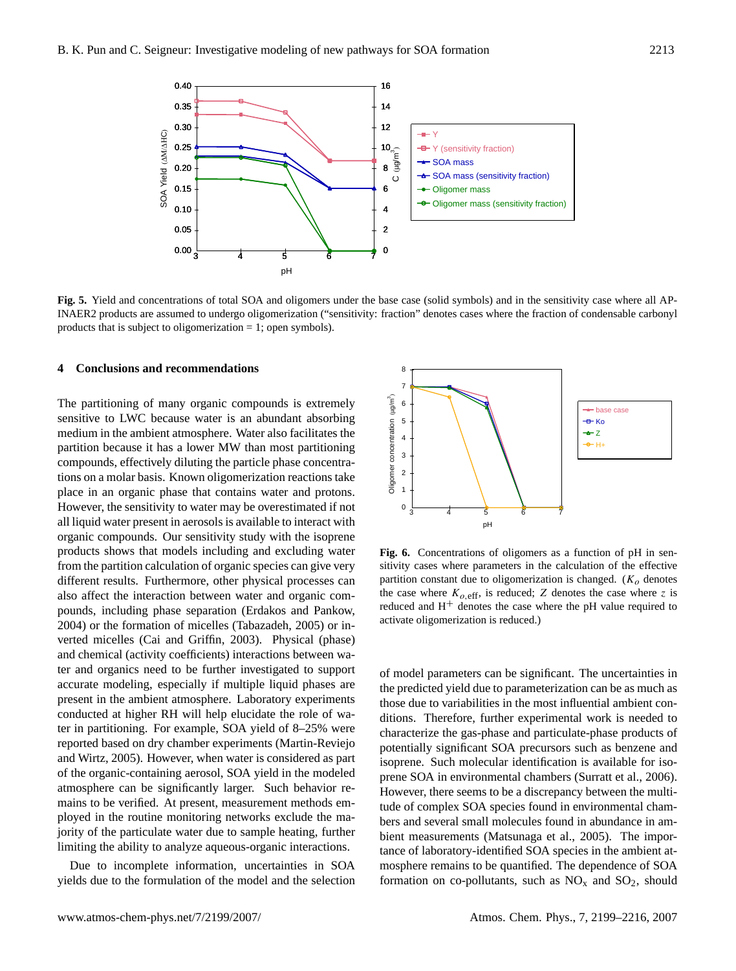

**Fig. 5.** Yield and concentrations of total SOA and oligomers under the base case (solid symbols) and in the sensitivity case where all AP-INAER2 products are assumed to undergo oligomerization ("sensitivity: fraction" denotes cases where the fraction of condensable carbonyl products that is subject to oligomerization  $= 1$ ; open symbols).

### **4 Conclusions and recommendations**

The partitioning of many organic compounds is extremely sensitive to LWC because water is an abundant absorbing medium in the ambient atmosphere. Water also facilitates the partition because it has a lower MW than most partitioning compounds, effectively diluting the particle phase concentrations on a molar basis. Known oligomerization reactions take place in an organic phase that contains water and protons. However, the sensitivity to water may be overestimated if not all liquid water present in aerosols is available to interact with organic compounds. Our sensitivity study with the isoprene products shows that models including and excluding water from the partition calculation of organic species can give very different results. Furthermore, other physical processes can also affect the interaction between water and organic compounds, including phase separation (Erdakos and Pankow, 2004) or the formation of micelles (Tabazadeh, 2005) or inverted micelles (Cai and Griffin, 2003). Physical (phase) and chemical (activity coefficients) interactions between water and organics need to be further investigated to support accurate modeling, especially if multiple liquid phases are present in the ambient atmosphere. Laboratory experiments conducted at higher RH will help elucidate the role of water in partitioning. For example, SOA yield of 8–25% were reported based on dry chamber experiments (Martin-Reviejo and Wirtz, 2005). However, when water is considered as part of the organic-containing aerosol, SOA yield in the modeled atmosphere can be significantly larger. Such behavior remains to be verified. At present, measurement methods employed in the routine monitoring networks exclude the majority of the particulate water due to sample heating, further limiting the ability to analyze aqueous-organic interactions.

Due to incomplete information, uncertainties in SOA yields due to the formulation of the model and the selection



**Fig. 6.** Concentrations of oligomers as a function of pH in sensitivity cases where parameters in the calculation of the effective partition constant due to oligomerization is changed.  $(K<sub>o</sub>$  denotes the case where  $K_{o, \text{eff}}$ , is reduced; Z denotes the case where z is reduced and  $H^+$  denotes the case where the pH value required to activate oligomerization is reduced.)

of model parameters can be significant. The uncertainties in the predicted yield due to parameterization can be as much as those due to variabilities in the most influential ambient conditions. Therefore, further experimental work is needed to characterize the gas-phase and particulate-phase products of potentially significant SOA precursors such as benzene and isoprene. Such molecular identification is available for isoprene SOA in environmental chambers (Surratt et al., 2006). However, there seems to be a discrepancy between the multitude of complex SOA species found in environmental chambers and several small molecules found in abundance in ambient measurements (Matsunaga et al., 2005). The importance of laboratory-identified SOA species in the ambient atmosphere remains to be quantified. The dependence of SOA formation on co-pollutants, such as  $NO<sub>x</sub>$  and  $SO<sub>2</sub>$ , should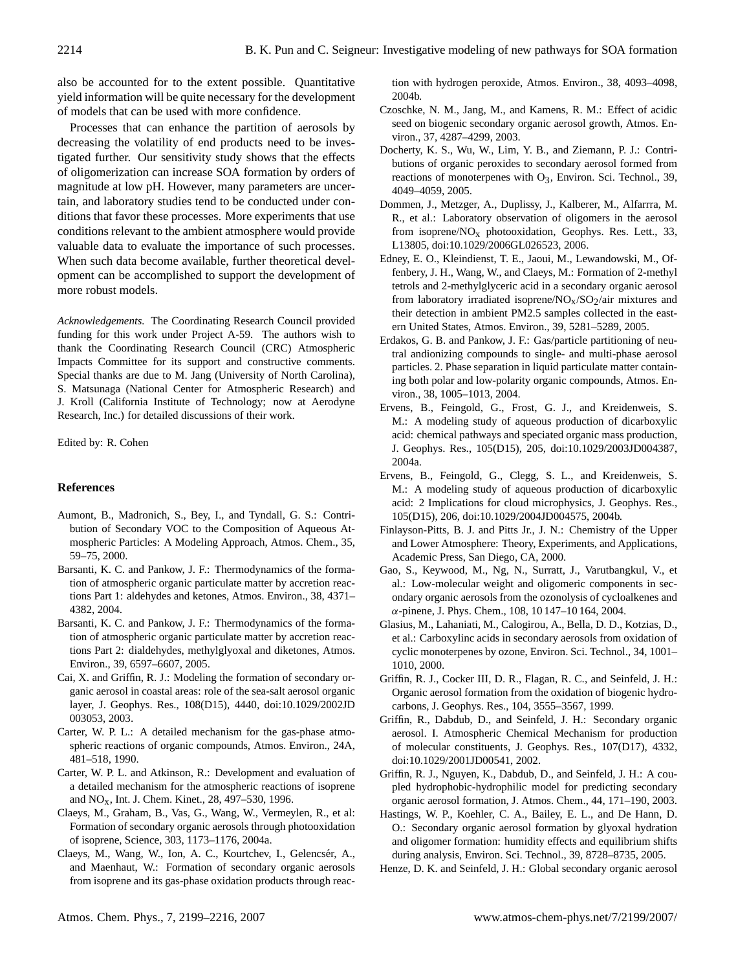also be accounted for to the extent possible. Quantitative yield information will be quite necessary for the development of models that can be used with more confidence.

Processes that can enhance the partition of aerosols by decreasing the volatility of end products need to be investigated further. Our sensitivity study shows that the effects of oligomerization can increase SOA formation by orders of magnitude at low pH. However, many parameters are uncertain, and laboratory studies tend to be conducted under conditions that favor these processes. More experiments that use conditions relevant to the ambient atmosphere would provide valuable data to evaluate the importance of such processes. When such data become available, further theoretical development can be accomplished to support the development of more robust models.

*Acknowledgements.* The Coordinating Research Council provided funding for this work under Project A-59. The authors wish to thank the Coordinating Research Council (CRC) Atmospheric Impacts Committee for its support and constructive comments. Special thanks are due to M. Jang (University of North Carolina), S. Matsunaga (National Center for Atmospheric Research) and J. Kroll (California Institute of Technology; now at Aerodyne Research, Inc.) for detailed discussions of their work.

Edited by: R. Cohen

#### **References**

- Aumont, B., Madronich, S., Bey, I., and Tyndall, G. S.: Contribution of Secondary VOC to the Composition of Aqueous Atmospheric Particles: A Modeling Approach, Atmos. Chem., 35, 59–75, 2000.
- Barsanti, K. C. and Pankow, J. F.: Thermodynamics of the formation of atmospheric organic particulate matter by accretion reactions Part 1: aldehydes and ketones, Atmos. Environ., 38, 4371– 4382, 2004.
- Barsanti, K. C. and Pankow, J. F.: Thermodynamics of the formation of atmospheric organic particulate matter by accretion reactions Part 2: dialdehydes, methylglyoxal and diketones, Atmos. Environ., 39, 6597–6607, 2005.
- Cai, X. and Griffin, R. J.: Modeling the formation of secondary organic aerosol in coastal areas: role of the sea-salt aerosol organic layer, J. Geophys. Res., 108(D15), 4440, doi:10.1029/2002JD 003053, 2003.
- Carter, W. P. L.: A detailed mechanism for the gas-phase atmospheric reactions of organic compounds, Atmos. Environ., 24A, 481–518, 1990.
- Carter, W. P. L. and Atkinson, R.: Development and evaluation of a detailed mechanism for the atmospheric reactions of isoprene and NOx, Int. J. Chem. Kinet., 28, 497–530, 1996.
- Claeys, M., Graham, B., Vas, G., Wang, W., Vermeylen, R., et al: Formation of secondary organic aerosols through photooxidation of isoprene, Science, 303, 1173–1176, 2004a.
- Claeys, M., Wang, W., Ion, A. C., Kourtchev, I., Gelencsér, A., and Maenhaut, W.: Formation of secondary organic aerosols from isoprene and its gas-phase oxidation products through reac-

tion with hydrogen peroxide, Atmos. Environ., 38, 4093–4098, 2004b.

- Czoschke, N. M., Jang, M., and Kamens, R. M.: Effect of acidic seed on biogenic secondary organic aerosol growth, Atmos. Environ., 37, 4287–4299, 2003.
- Docherty, K. S., Wu, W., Lim, Y. B., and Ziemann, P. J.: Contributions of organic peroxides to secondary aerosol formed from reactions of monoterpenes with  $O_3$ , Environ. Sci. Technol., 39, 4049–4059, 2005.
- Dommen, J., Metzger, A., Duplissy, J., Kalberer, M., Alfarrra, M. R., et al.: Laboratory observation of oligomers in the aerosol from isoprene/ $NO<sub>x</sub>$  photooxidation, Geophys. Res. Lett., 33, L13805, doi:10.1029/2006GL026523, 2006.
- Edney, E. O., Kleindienst, T. E., Jaoui, M., Lewandowski, M., Offenbery, J. H., Wang, W., and Claeys, M.: Formation of 2-methyl tetrols and 2-methylglyceric acid in a secondary organic aerosol from laboratory irradiated isoprene/ $NO<sub>x</sub>/SO<sub>2</sub>/air$  mixtures and their detection in ambient PM2.5 samples collected in the eastern United States, Atmos. Environ., 39, 5281–5289, 2005.
- Erdakos, G. B. and Pankow, J. F.: Gas/particle partitioning of neutral andionizing compounds to single- and multi-phase aerosol particles. 2. Phase separation in liquid particulate matter containing both polar and low-polarity organic compounds, Atmos. Environ., 38, 1005–1013, 2004.
- Ervens, B., Feingold, G., Frost, G. J., and Kreidenweis, S. M.: A modeling study of aqueous production of dicarboxylic acid: chemical pathways and speciated organic mass production, J. Geophys. Res., 105(D15), 205, doi:10.1029/2003JD004387, 2004a.
- Ervens, B., Feingold, G., Clegg, S. L., and Kreidenweis, S. M.: A modeling study of aqueous production of dicarboxylic acid: 2 Implications for cloud microphysics, J. Geophys. Res., 105(D15), 206, doi:10.1029/2004JD004575, 2004b.
- Finlayson-Pitts, B. J. and Pitts Jr., J. N.: Chemistry of the Upper and Lower Atmosphere: Theory, Experiments, and Applications, Academic Press, San Diego, CA, 2000.
- Gao, S., Keywood, M., Ng, N., Surratt, J., Varutbangkul, V., et al.: Low-molecular weight and oligomeric components in secondary organic aerosols from the ozonolysis of cycloalkenes and α-pinene, J. Phys. Chem., 108, 10 147–10 164, 2004.
- Glasius, M., Lahaniati, M., Calogirou, A., Bella, D. D., Kotzias, D., et al.: Carboxylinc acids in secondary aerosols from oxidation of cyclic monoterpenes by ozone, Environ. Sci. Technol., 34, 1001– 1010, 2000.
- Griffin, R. J., Cocker III, D. R., Flagan, R. C., and Seinfeld, J. H.: Organic aerosol formation from the oxidation of biogenic hydrocarbons, J. Geophys. Res., 104, 3555–3567, 1999.
- Griffin, R., Dabdub, D., and Seinfeld, J. H.: Secondary organic aerosol. I. Atmospheric Chemical Mechanism for production of molecular constituents, J. Geophys. Res., 107(D17), 4332, doi:10.1029/2001JD00541, 2002.
- Griffin, R. J., Nguyen, K., Dabdub, D., and Seinfeld, J. H.: A coupled hydrophobic-hydrophilic model for predicting secondary organic aerosol formation, J. Atmos. Chem., 44, 171–190, 2003.
- Hastings, W. P., Koehler, C. A., Bailey, E. L., and De Hann, D. O.: Secondary organic aerosol formation by glyoxal hydration and oligomer formation: humidity effects and equilibrium shifts during analysis, Environ. Sci. Technol., 39, 8728–8735, 2005.
- Henze, D. K. and Seinfeld, J. H.: Global secondary organic aerosol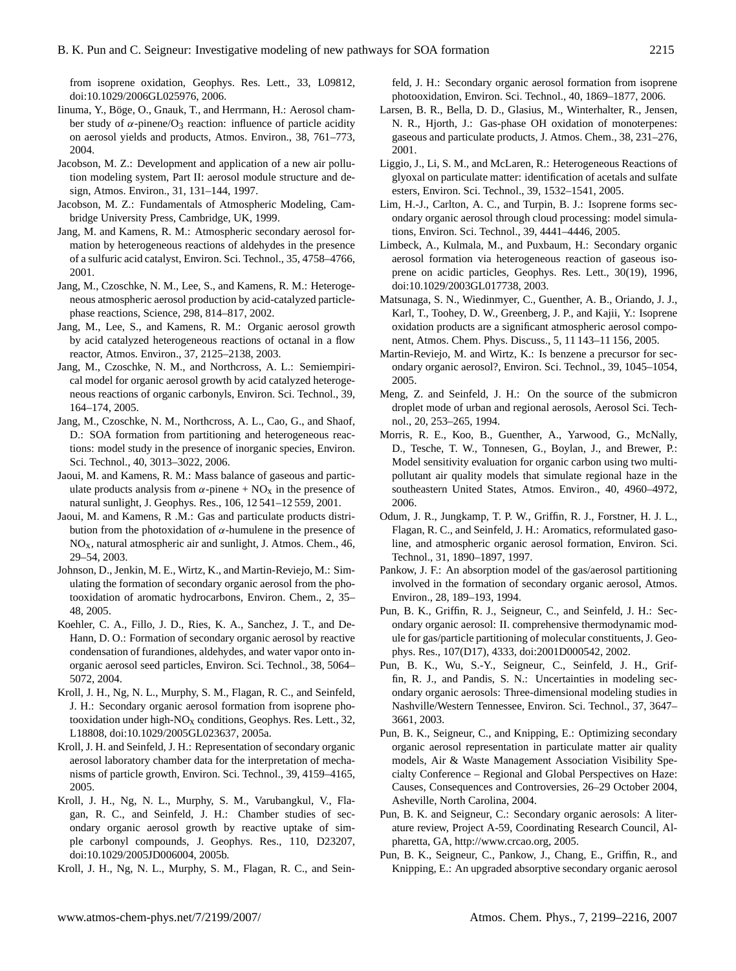from isoprene oxidation, Geophys. Res. Lett., 33, L09812, doi:10.1029/2006GL025976, 2006.

- Iinuma, Y., Böge, O., Gnauk, T., and Herrmann, H.: Aerosol chamber study of  $\alpha$ -pinene/O<sub>3</sub> reaction: influence of particle acidity on aerosol yields and products, Atmos. Environ., 38, 761–773, 2004.
- Jacobson, M. Z.: Development and application of a new air pollution modeling system, Part II: aerosol module structure and design, Atmos. Environ., 31, 131–144, 1997.
- Jacobson, M. Z.: Fundamentals of Atmospheric Modeling, Cambridge University Press, Cambridge, UK, 1999.
- Jang, M. and Kamens, R. M.: Atmospheric secondary aerosol formation by heterogeneous reactions of aldehydes in the presence of a sulfuric acid catalyst, Environ. Sci. Technol., 35, 4758–4766, 2001.
- Jang, M., Czoschke, N. M., Lee, S., and Kamens, R. M.: Heterogeneous atmospheric aerosol production by acid-catalyzed particlephase reactions, Science, 298, 814–817, 2002.
- Jang, M., Lee, S., and Kamens, R. M.: Organic aerosol growth by acid catalyzed heterogeneous reactions of octanal in a flow reactor, Atmos. Environ., 37, 2125–2138, 2003.
- Jang, M., Czoschke, N. M., and Northcross, A. L.: Semiempirical model for organic aerosol growth by acid catalyzed heterogeneous reactions of organic carbonyls, Environ. Sci. Technol., 39, 164–174, 2005.
- Jang, M., Czoschke, N. M., Northcross, A. L., Cao, G., and Shaof, D.: SOA formation from partitioning and heterogeneous reactions: model study in the presence of inorganic species, Environ. Sci. Technol., 40, 3013–3022, 2006.
- Jaoui, M. and Kamens, R. M.: Mass balance of gaseous and particulate products analysis from  $\alpha$ -pinene + NO<sub>x</sub> in the presence of natural sunlight, J. Geophys. Res., 106, 12 541–12 559, 2001.
- Jaoui, M. and Kamens, R .M.: Gas and particulate products distribution from the photoxidation of α-humulene in the presence of  $NO<sub>x</sub>$ , natural atmospheric air and sunlight, J. Atmos. Chem., 46, 29–54, 2003.
- Johnson, D., Jenkin, M. E., Wirtz, K., and Martin-Reviejo, M.: Simulating the formation of secondary organic aerosol from the photooxidation of aromatic hydrocarbons, Environ. Chem., 2, 35– 48, 2005.
- Koehler, C. A., Fillo, J. D., Ries, K. A., Sanchez, J. T., and De-Hann, D. O.: Formation of secondary organic aerosol by reactive condensation of furandiones, aldehydes, and water vapor onto inorganic aerosol seed particles, Environ. Sci. Technol., 38, 5064– 5072, 2004.
- Kroll, J. H., Ng, N. L., Murphy, S. M., Flagan, R. C., and Seinfeld, J. H.: Secondary organic aerosol formation from isoprene photooxidation under high-NOx conditions, Geophys. Res. Lett., 32, L18808, doi:10.1029/2005GL023637, 2005a.
- Kroll, J. H. and Seinfeld, J. H.: Representation of secondary organic aerosol laboratory chamber data for the interpretation of mechanisms of particle growth, Environ. Sci. Technol., 39, 4159–4165, 2005.
- Kroll, J. H., Ng, N. L., Murphy, S. M., Varubangkul, V., Flagan, R. C., and Seinfeld, J. H.: Chamber studies of secondary organic aerosol growth by reactive uptake of simple carbonyl compounds, J. Geophys. Res., 110, D23207, doi:10.1029/2005JD006004, 2005b.
- Kroll, J. H., Ng, N. L., Murphy, S. M., Flagan, R. C., and Sein-

feld, J. H.: Secondary organic aerosol formation from isoprene photooxidation, Environ. Sci. Technol., 40, 1869–1877, 2006.

- Larsen, B. R., Bella, D. D., Glasius, M., Winterhalter, R., Jensen, N. R., Hjorth, J.: Gas-phase OH oxidation of monoterpenes: gaseous and particulate products, J. Atmos. Chem., 38, 231–276, 2001.
- Liggio, J., Li, S. M., and McLaren, R.: Heterogeneous Reactions of glyoxal on particulate matter: identification of acetals and sulfate esters, Environ. Sci. Technol., 39, 1532–1541, 2005.
- Lim, H.-J., Carlton, A. C., and Turpin, B. J.: Isoprene forms secondary organic aerosol through cloud processing: model simulations, Environ. Sci. Technol., 39, 4441–4446, 2005.
- Limbeck, A., Kulmala, M., and Puxbaum, H.: Secondary organic aerosol formation via heterogeneous reaction of gaseous isoprene on acidic particles, Geophys. Res. Lett., 30(19), 1996, doi:10.1029/2003GL017738, 2003.
- Matsunaga, S. N., Wiedinmyer, C., Guenther, A. B., Oriando, J. J., Karl, T., Toohey, D. W., Greenberg, J. P., and Kajii, Y.: Isoprene oxidation products are a significant atmospheric aerosol component, Atmos. Chem. Phys. Discuss., 5, 11 143–11 156, 2005.
- Martin-Reviejo, M. and Wirtz, K.: Is benzene a precursor for secondary organic aerosol?, Environ. Sci. Technol., 39, 1045–1054, 2005.
- Meng, Z. and Seinfeld, J. H.: On the source of the submicron droplet mode of urban and regional aerosols, Aerosol Sci. Technol., 20, 253–265, 1994.
- Morris, R. E., Koo, B., Guenther, A., Yarwood, G., McNally, D., Tesche, T. W., Tonnesen, G., Boylan, J., and Brewer, P.: Model sensitivity evaluation for organic carbon using two multipollutant air quality models that simulate regional haze in the southeastern United States, Atmos. Environ., 40, 4960–4972, 2006.
- Odum, J. R., Jungkamp, T. P. W., Griffin, R. J., Forstner, H. J. L., Flagan, R. C., and Seinfeld, J. H.: Aromatics, reformulated gasoline, and atmospheric organic aerosol formation, Environ. Sci. Technol., 31, 1890–1897, 1997.
- Pankow, J. F.: An absorption model of the gas/aerosol partitioning involved in the formation of secondary organic aerosol, Atmos. Environ., 28, 189–193, 1994.
- Pun, B. K., Griffin, R. J., Seigneur, C., and Seinfeld, J. H.: Secondary organic aerosol: II. comprehensive thermodynamic module for gas/particle partitioning of molecular constituents, J. Geophys. Res., 107(D17), 4333, doi:2001D000542, 2002.
- Pun, B. K., Wu, S.-Y., Seigneur, C., Seinfeld, J. H., Griffin, R. J., and Pandis, S. N.: Uncertainties in modeling secondary organic aerosols: Three-dimensional modeling studies in Nashville/Western Tennessee, Environ. Sci. Technol., 37, 3647– 3661, 2003.
- Pun, B. K., Seigneur, C., and Knipping, E.: Optimizing secondary organic aerosol representation in particulate matter air quality models, Air & Waste Management Association Visibility Specialty Conference – Regional and Global Perspectives on Haze: Causes, Consequences and Controversies, 26–29 October 2004, Asheville, North Carolina, 2004.
- Pun, B. K. and Seigneur, C.: Secondary organic aerosols: A literature review, Project A-59, Coordinating Research Council, Alpharetta, GA, [http://www.crcao.org,](http://www.crcao.org) 2005.
- Pun, B. K., Seigneur, C., Pankow, J., Chang, E., Griffin, R., and Knipping, E.: An upgraded absorptive secondary organic aerosol